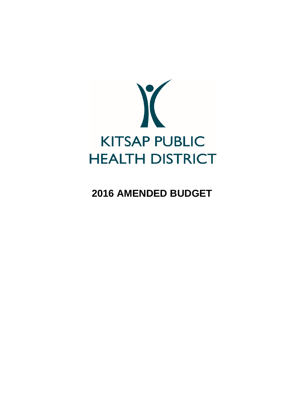

**2016 AMENDED BUDGET**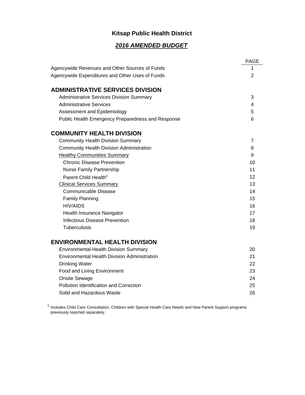# **Kitsap Public Health District**

# *2016 AMENDED BUDGET*

|                                                     | <b>PAGE</b> |
|-----------------------------------------------------|-------------|
| Agencywide Revenues and Other Sources of Funds      | 1           |
| Agencywide Expenditures and Other Uses of Funds     | 2           |
|                                                     |             |
| <b>ADMINISTRATIVE SERVICES DIVISION</b>             |             |
| <b>Administrative Services Division Summary</b>     | 3           |
| <b>Administrative Services</b>                      | 4           |
| Assessment and Epidemiology                         | 5           |
| Public Health Emergency Preparedness and Response   | 6           |
| <b>COMMUNITY HEALTH DIVISION</b>                    |             |
| <b>Community Health Division Summary</b>            | 7           |
| <b>Community Health Division Administration</b>     | 8           |
| <b>Healthy Communities Summary</b>                  | 9           |
| <b>Chronic Disease Prevention</b>                   | 10          |
| Nurse Family Partnership                            | 11          |
| Parent Child Health <sup>1</sup>                    | 12          |
| <b>Clinical Services Summary</b>                    | 13          |
| <b>Communicable Disease</b>                         | 14          |
| <b>Family Planning</b>                              | 15          |
| <b>HIV/AIDS</b>                                     | 16          |
| Health Insurance Navigator                          | 17          |
| <b>Infectious Disease Prevention</b>                | 18          |
| Tuberculosis                                        | 19          |
| <b>ENVIRONMENTAL HEALTH DIVISION</b>                |             |
| <b>Environmental Health Division Summary</b>        | 20          |
| <b>Environmental Health Division Administration</b> | 21          |
| <b>Drinking Water</b>                               | 22          |
| Food and Living Environment                         | 23          |
| <b>Onsite Sewage</b>                                | 24          |
| Pollution Identification and Correction             | 25          |
| Solid and Hazardous Waste                           | 26          |

<sup>1</sup> Includes Child Care Consultation, Children with Special Health Care Needs and New Parent Support programs previously reported separately.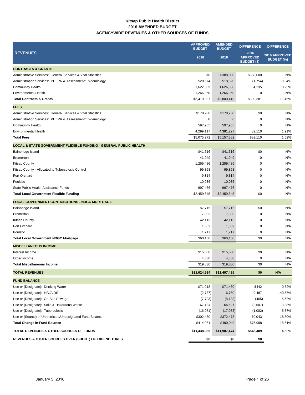### **Kitsap Public Health District 2016 AMENDED BUDGET AGENCYWIDE REVENUES & OTHER SOURCES OF FUNDS**

|                                                                              | <b>APPROVED</b><br><b>BUDGET</b> | <b>AMENDED</b><br><b>BUDGET</b> | <b>DIFFERENCE</b>                             | <b>DIFFERENCE</b>                         |
|------------------------------------------------------------------------------|----------------------------------|---------------------------------|-----------------------------------------------|-------------------------------------------|
| <b>REVENUES</b>                                                              | 2016                             | 2016                            | 2016<br><b>APPROVED</b><br><b>BUDGET (\$)</b> | <b>2016 APPROVED</b><br><b>BUDGET (%)</b> |
| <b>CONTRACTS &amp; GRANTS</b>                                                |                                  |                                 |                                               |                                           |
| Administrative Services: General Services & Vital Statistics                 | \$0                              | \$388,000                       | \$388,000                                     | N/A                                       |
| Administration Services: PHEPR & Assessment/Epidemiology                     | 520,574                          | 518,820                         | (1,754)                                       | $-0.34%$                                  |
| <b>Community Health</b>                                                      | 1,622,503                        | 1,626,638                       | 4,135                                         | 0.25%                                     |
| <b>Environmental Health</b>                                                  | 1,266,960                        | 1,266,960                       | 0                                             | N/A                                       |
| <b>Total Contracts &amp; Grants</b>                                          | \$3,410,037                      | \$3,800,418                     | \$390,381                                     | 11.45%                                    |
| <b>FEES</b>                                                                  |                                  |                                 |                                               |                                           |
| Administrative Services: General Services & Vital Statistics                 | \$178,200                        | \$178,200                       | \$0                                           | N/A                                       |
| Administration Services: PHEPR & Assessment/Epidemiology                     | 0                                | 0                               | 0                                             | N/A                                       |
| <b>Community Health</b>                                                      | 597,955                          | 597,955                         | 0                                             | N/A                                       |
| <b>Environmental Health</b>                                                  | 4,299,117                        | 4,381,227                       | 82,110                                        | 1.91%                                     |
| <b>Total Fees</b>                                                            | \$5,075,272                      | \$5,157,382                     | \$82,110                                      | 1.62%                                     |
| <b>LOCAL &amp; STATE GOVERNMENT FLEXIBLE FUNDING - GENERAL PUBLIC HEALTH</b> |                                  |                                 |                                               |                                           |
| Bainbridge Island                                                            | \$41,516                         | \$41,516                        | \$0                                           | N/A                                       |
| <b>Bremerton</b>                                                             | 41,949                           | 41,949                          | 0                                             | N/A                                       |
| <b>Kitsap County</b>                                                         | 1,259,486                        | 1,259,486                       | 0                                             | N/A                                       |
| Kitsap County - Allocated to Tuberculosis Control                            | 99,868                           | 99,868                          | $\mathbf 0$                                   | N/A                                       |
| Port Orchard                                                                 | 9,314                            | 9,314                           | 0                                             | N/A                                       |
| Poulsbo                                                                      | 10,036                           | 10,036                          | 0                                             | N/A                                       |
| State Public Health Assistance Funds                                         | 997,476                          | 997,476                         | 0                                             | N/A                                       |
| <b>Total Local Government Flexible Funding</b>                               | \$2,459,645                      | \$2,459,645                     | \$0                                           | N/A                                       |
| <b>LOCAL GOVERNMENT CONTRIBUTIONS - NDGC MORTGAGE</b>                        |                                  |                                 |                                               |                                           |
| Bainbridge Island                                                            | \$7,715                          | \$7,715                         | \$0                                           | N/A                                       |
| <b>Bremerton</b>                                                             | 7,003                            | 7,003                           | $\mathbf 0$                                   | N/A                                       |
| <b>Kitsap County</b>                                                         | 42,113                           | 42,113                          | 0                                             | N/A                                       |
| Port Orchard                                                                 | 1,602                            | 1,602                           | 0                                             | N/A                                       |
| Poulsbo                                                                      | 1,717                            | 1,717                           | 0                                             | N/A                                       |
| <b>Total Local Government NDGC Mortgage</b>                                  | \$60,150                         | \$60,150                        | \$0                                           | N/A                                       |
| <b>MISCELLANEOUS INCOME</b>                                                  |                                  |                                 |                                               |                                           |
| Interest Income                                                              | \$15,500                         | \$15,500                        | \$0                                           | N/A                                       |
| Other Income                                                                 | 4,330                            | 4,330                           | 0                                             | N/A                                       |
| <b>Total Miscellaneous Income</b>                                            | \$19,830                         | \$19,830                        | \$0                                           | N/A                                       |
| <b>TOTAL REVENUES</b>                                                        | \$11,024,934                     | \$11,497,425                    | \$0                                           | N/A                                       |
| <b>FUND BALANCE</b>                                                          |                                  |                                 |                                               |                                           |
| Use or (Designate): Drinking Water                                           | \$71,018                         | \$71,460                        | \$442                                         | 0.62%                                     |
| Use or (Designate): HIV/AIDS                                                 | (2,737)                          | 6,750                           | 9,487                                         | 140.55%                                   |
| Use or (Designate): On-Site Sewage                                           | (7, 723)                         | (8, 188)                        | (465)                                         | 5.68%                                     |
| Use or (Designate): Solid & Hazardous Waste                                  | 67,134                           | 64,627                          | (2,507)                                       | $-3.88%$                                  |
| Use or (Designate): Tuberculosis                                             | (16,071)                         | (17, 073)                       | (1,002)                                       | 5.87%                                     |
| Use or (Source) of Unrestricted/Undesignated Fund Balance                    | \$302,430                        | \$372,473                       | 70,043                                        | 18.80%                                    |
| <b>Total Change in Fund Balance</b>                                          | \$414,051                        | \$490,049                       | \$75,998                                      | 15.51%                                    |
| TOTAL REVENUES & OTHER SOURCES OF FUNDS                                      | \$11,438,985                     | \$11,987,474                    | \$548,489                                     | 4.58%                                     |
| <b>REVENUES &amp; OTHER SOURCES OVER (SHORT) OF EXPENDITURES</b>             | \$0                              | \$0                             | \$0                                           |                                           |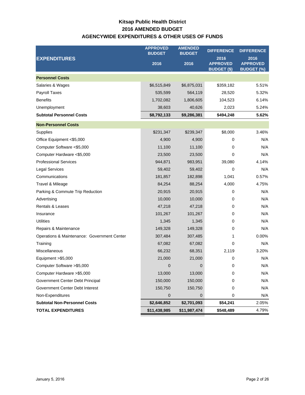# **Kitsap Public Health District AGENCYWIDE EXPENDITURES & OTHER USES OF FUNDS 2016 AMENDED BUDGET**

|                                             | <b>APPROVED</b><br><b>BUDGET</b> | <b>AMENDED</b><br><b>BUDGET</b> | <b>DIFFERENCE</b>                             | <b>DIFFERENCE</b>                            |
|---------------------------------------------|----------------------------------|---------------------------------|-----------------------------------------------|----------------------------------------------|
| <b>EXPENDITURES</b>                         | 2016                             | 2016                            | 2016<br><b>APPROVED</b><br><b>BUDGET (\$)</b> | 2016<br><b>APPROVED</b><br><b>BUDGET (%)</b> |
| <b>Personnel Costs</b>                      |                                  |                                 |                                               |                                              |
| Salaries & Wages                            | \$6,515,849                      | \$6,875,031                     | \$359,182                                     | 5.51%                                        |
| <b>Payroll Taxes</b>                        | 535,599                          | 564,119                         | 28,520                                        | 5.32%                                        |
| <b>Benefits</b>                             | 1,702,082                        | 1,806,605                       | 104,523                                       | 6.14%                                        |
| Unemployment                                | 38,603                           | 40,626                          | 2,023                                         | 5.24%                                        |
| <b>Subtotal Personnel Costs</b>             | \$8,792,133                      | \$9,286,381                     | \$494,248                                     | 5.62%                                        |
| <b>Non-Personnel Costs</b>                  |                                  |                                 |                                               |                                              |
| Supplies                                    | \$231,347                        | \$239,347                       | \$8,000                                       | 3.46%                                        |
| Office Equipment <\$5,000                   | 4,900                            | 4,900                           | 0                                             | N/A                                          |
| Computer Software <\$5,000                  | 11,100                           | 11,100                          | 0                                             | N/A                                          |
| Computer Hardware <\$5,000                  | 23,500                           | 23,500                          | 0                                             | N/A                                          |
| <b>Professional Services</b>                | 944,871                          | 983,951                         | 39,080                                        | 4.14%                                        |
| <b>Legal Services</b>                       | 59,402                           | 59,402                          | 0                                             | N/A                                          |
| Communications                              | 181,857                          | 182,898                         | 1,041                                         | 0.57%                                        |
| Travel & Mileage                            | 84,254                           | 88,254                          | 4,000                                         | 4.75%                                        |
| Parking & Commute Trip Reduction            | 20,915                           | 20,915                          | 0                                             | N/A                                          |
| Advertising                                 | 10,000                           | 10,000                          | 0                                             | N/A                                          |
| <b>Rentals &amp; Leases</b>                 | 47,218                           | 47,218                          | 0                                             | N/A                                          |
| Insurance                                   | 101,267                          | 101,267                         | 0                                             | N/A                                          |
| <b>Utilities</b>                            | 1,345                            | 1,345                           | 0                                             | N/A                                          |
| Repairs & Maintenance                       | 149,328                          | 149,328                         | 0                                             | N/A                                          |
| Operations & Maintenance: Government Center | 307,484                          | 307,485                         | 1                                             | 0.00%                                        |
| Training                                    | 67,082                           | 67,082                          | 0                                             | N/A                                          |
| Miscellaneous                               | 66,232                           | 68,351                          | 2,119                                         | 3.20%                                        |
| Equipment > \$5,000                         | 21,000                           | 21,000                          | 0                                             | N/A                                          |
| Computer Software > \$5,000                 | $\mathbf 0$                      | 0                               | 0                                             | N/A                                          |
| Computer Hardware > \$5,000                 | 13,000                           | 13,000                          | 0                                             | N/A                                          |
| Government Center Debt Principal            | 150,000                          | 150,000                         | 0                                             | N/A                                          |
| Government Center Debt Interest             | 150,750                          | 150,750                         | 0                                             | N/A                                          |
| Non-Expenditures                            | $\mathbf 0$                      | 0                               | 0                                             | N/A                                          |
| <b>Subtotal Non-Personnel Costs</b>         | \$2,646,852                      | \$2,701,093                     | \$54,241                                      | 2.05%                                        |
| <b>TOTAL EXPENDITURES</b>                   | \$11,438,985                     | \$11,987,474                    | \$548,489                                     | 4.79%                                        |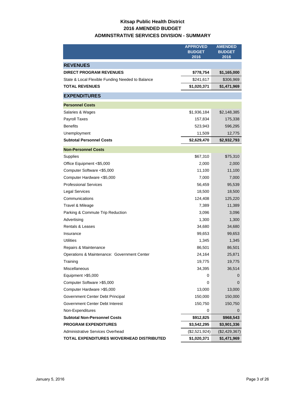# **Kitsap Public Health District 2016 AMENDED BUDGET ADMINSTRATIVE SERVICES DIVISION - SUMMARY**

|                                                                           | <b>APPROVED</b>       | <b>AMENDED</b>        |
|---------------------------------------------------------------------------|-----------------------|-----------------------|
|                                                                           | <b>BUDGET</b><br>2016 | <b>BUDGET</b><br>2016 |
|                                                                           |                       |                       |
| <b>REVENUES</b>                                                           |                       |                       |
| <b>DIRECT PROGRAM REVENUES</b>                                            | \$778,754             | \$1,165,000           |
| State & Local Flexible Funding Needed to Balance<br><b>TOTAL REVENUES</b> | \$241,617             | \$306,969             |
|                                                                           | \$1,020,371           | \$1,471,969           |
| <b>EXPENDITURES</b>                                                       |                       |                       |
| <b>Personnel Costs</b>                                                    |                       |                       |
| Salaries & Wages                                                          | \$1,936,184           | \$2,148,385           |
| <b>Payroll Taxes</b>                                                      | 157,834               | 175,338               |
| <b>Benefits</b>                                                           | 523,943               | 596,295               |
| Unemployment                                                              | 11,509                | 12,775                |
| <b>Subtotal Personnel Costs</b>                                           | \$2,629,470           | \$2,932,793           |
| <b>Non-Personnel Costs</b>                                                |                       |                       |
| Supplies                                                                  | \$67,310              | \$75,310              |
| Office Equipment <\$5,000                                                 | 2,000                 | 2,000                 |
| Computer Software <\$5,000                                                | 11,100                | 11,100                |
| Computer Hardware <\$5,000                                                | 7,000                 | 7,000                 |
| <b>Professional Services</b>                                              | 56,459                | 95,539                |
| <b>Legal Services</b>                                                     | 18,500                | 18,500                |
| Communications                                                            | 124,408               | 125,220               |
| Travel & Mileage                                                          | 7,389                 | 11,389                |
| Parking & Commute Trip Reduction                                          | 3,096                 | 3,096                 |
| Advertising                                                               | 1,300                 | 1,300                 |
| <b>Rentals &amp; Leases</b>                                               | 34,680                | 34,680                |
| Insurance                                                                 | 99,653                | 99,653                |
| <b>Utilities</b>                                                          | 1,345                 | 1,345                 |
| Repairs & Maintenance                                                     | 86,501                | 86,501                |
| Operations & Maintenance: Government Center                               | 24,164                | 25,871                |
| Training                                                                  | 19,775                | 19,775                |
| Miscellaneous                                                             | 34,395                | 36,514                |
| Equipment > \$5,000                                                       | 0                     | 0                     |
| Computer Software > \$5,000                                               | 0                     | 0                     |
| Computer Hardware > \$5,000                                               | 13,000                | 13,000                |
| Government Center Debt Principal                                          | 150,000               | 150,000               |
| Government Center Debt Interest                                           | 150,750               | 150,750               |
| Non-Expenditures                                                          | 0                     | $\mathbf{0}$          |
| <b>Subtotal Non-Personnel Costs</b>                                       | \$912,825             | \$968,543             |
| <b>PROGRAM EXPENDITURES</b>                                               | \$3,542,295           | \$3,901,336           |
| <b>Administrative Services Overhead</b>                                   | (\$2,521,924)         | $(\$2,429,367)$       |
| TOTAL EXPENDITURES W/OVERHEAD DISTRIBUTED                                 | \$1,020,371           | \$1,471,969           |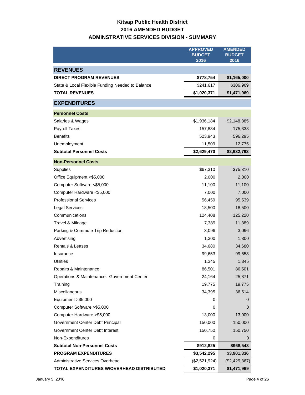# **Kitsap Public Health District 2016 AMENDED BUDGET ADMINSTRATIVE SERVICES DIVISION - SUMMARY**

|                                                  | <b>APPROVED</b><br><b>BUDGET</b><br>2016 | <b>AMENDED</b><br><b>BUDGET</b><br>2016 |
|--------------------------------------------------|------------------------------------------|-----------------------------------------|
| <b>REVENUES</b>                                  |                                          |                                         |
| <b>DIRECT PROGRAM REVENUES</b>                   | \$778,754                                | \$1,165,000                             |
| State & Local Flexible Funding Needed to Balance | \$241,617                                | \$306,969                               |
| <b>TOTAL REVENUES</b>                            | \$1,020,371                              | \$1,471,969                             |
| <b>EXPENDITURES</b>                              |                                          |                                         |
| <b>Personnel Costs</b>                           |                                          |                                         |
| Salaries & Wages                                 | \$1,936,184                              | \$2,148,385                             |
| Payroll Taxes                                    | 157,834                                  | 175,338                                 |
| <b>Benefits</b>                                  | 523,943                                  | 596,295                                 |
| Unemployment                                     | 11,509                                   | 12,775                                  |
| <b>Subtotal Personnel Costs</b>                  | \$2,629,470                              | \$2,932,793                             |
| <b>Non-Personnel Costs</b>                       |                                          |                                         |
| Supplies                                         | \$67,310                                 | \$75,310                                |
| Office Equipment <\$5,000                        | 2,000                                    | 2,000                                   |
| Computer Software <\$5,000                       | 11,100                                   | 11,100                                  |
| Computer Hardware <\$5,000                       | 7,000                                    | 7,000                                   |
| <b>Professional Services</b>                     | 56,459                                   | 95,539                                  |
| <b>Legal Services</b>                            | 18,500                                   | 18,500                                  |
| Communications                                   | 124,408                                  | 125,220                                 |
| Travel & Mileage                                 | 7,389                                    | 11,389                                  |
| Parking & Commute Trip Reduction                 | 3,096                                    | 3,096                                   |
| Advertising                                      | 1,300                                    | 1,300                                   |
| <b>Rentals &amp; Leases</b>                      | 34,680                                   | 34,680                                  |
| Insurance                                        | 99,653                                   | 99,653                                  |
| <b>Utilities</b>                                 | 1,345                                    | 1,345                                   |
| Repairs & Maintenance                            | 86,501                                   | 86,501                                  |
| Operations & Maintenance: Government Center      | 24,164                                   | 25,871                                  |
| Training                                         | 19,775                                   | 19,775                                  |
| Miscellaneous                                    | 34,395                                   | 36,514                                  |
| Equipment > \$5,000                              | 0                                        | 0                                       |
| Computer Software > \$5,000                      | 0                                        | 0                                       |
| Computer Hardware > \$5,000                      | 13,000                                   | 13,000                                  |
| Government Center Debt Principal                 | 150,000                                  | 150,000                                 |
| Government Center Debt Interest                  | 150,750                                  | 150,750                                 |
| Non-Expenditures                                 | 0                                        | 0                                       |
| <b>Subtotal Non-Personnel Costs</b>              | \$912,825                                | \$968,543                               |
| <b>PROGRAM EXPENDITURES</b>                      | \$3,542,295                              | \$3,901,336                             |
| Administrative Services Overhead                 | (\$2,521,924)                            | (\$2,429,367)                           |
| TOTAL EXPENDITURES W/OVERHEAD DISTRIBUTED        | \$1,020,371                              | \$1,471,969                             |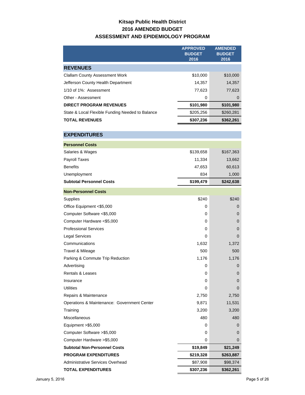# **Kitsap Public Health District 2016 AMENDED BUDGET ASSESSMENT AND EPIDEMIOLOGY PROGRAM**

|                                                  | <b>APPROVED</b><br><b>BUDGET</b><br>2016 | <b>AMENDED</b><br><b>BUDGET</b><br>2016 |
|--------------------------------------------------|------------------------------------------|-----------------------------------------|
| <b>REVENUES</b>                                  |                                          |                                         |
| <b>Clallam County Assessment Work</b>            | \$10,000                                 | \$10,000                                |
| Jefferson County Health Department               | 14.357                                   | 14,357                                  |
| 1/10 of 1%: Assessment                           | 77.623                                   | 77.623                                  |
| Other - Assessment                               | 0                                        | 0                                       |
| <b>DIRECT PROGRAM REVENUES</b>                   | \$101,980                                | \$101,980                               |
| State & Local Flexible Funding Needed to Balance | \$205,256                                | \$260,281                               |
| <b>TOTAL REVENUES</b>                            | \$307,236                                | \$362,261                               |

| <b>EXPENDITURES</b>                         |           |                |
|---------------------------------------------|-----------|----------------|
| <b>Personnel Costs</b>                      |           |                |
| Salaries & Wages                            | \$139,658 | \$167,363      |
| Payroll Taxes                               | 11,334    | 13,662         |
| <b>Benefits</b>                             | 47,653    | 60,613         |
| Unemployment                                | 834       | 1,000          |
| <b>Subtotal Personnel Costs</b>             | \$199,479 | \$242,638      |
| <b>Non-Personnel Costs</b>                  |           |                |
| Supplies                                    | \$240     | \$240          |
| Office Equipment <\$5,000                   | 0         | 0              |
| Computer Software <\$5,000                  | 0         | $\Omega$       |
| Computer Hardware <\$5,000                  | 0         | 0              |
| <b>Professional Services</b>                | 0         | 0              |
| <b>Legal Services</b>                       | 0         | $\mathbf 0$    |
| Communications                              | 1,632     | 1,372          |
| Travel & Mileage                            | 500       | 500            |
| Parking & Commute Trip Reduction            | 1,176     | 1,176          |
| Advertising                                 | 0         | 0              |
| <b>Rentals &amp; Leases</b>                 | 0         | 0              |
| Insurance                                   | 0         | 0              |
| <b>Utilities</b>                            | 0         | $\overline{0}$ |
| Repairs & Maintenance                       | 2,750     | 2,750          |
| Operations & Maintenance: Government Center | 9,871     | 11,531         |
| Training                                    | 3,200     | 3,200          |
| Miscellaneous                               | 480       | 480            |
| Equipment $>$ \$5,000                       | 0         | 0              |
| Computer Software > \$5,000                 | 0         | 0              |
| Computer Hardware > \$5,000                 | 0         | $\Omega$       |
| <b>Subtotal Non-Personnel Costs</b>         | \$19,849  | \$21,249       |
| <b>PROGRAM EXPENDITURES</b>                 | \$219,328 | \$263,887      |
| Administrative Services Overhead            | \$87,908  | \$98,374       |
| <b>TOTAL EXPENDITURES</b>                   | \$307,236 | \$362,261      |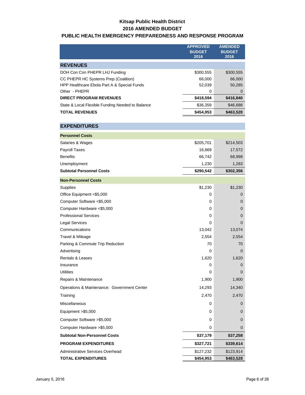## **Kitsap Public Health District 2016 AMENDED BUDGET**

### **PUBLIC HEALTH EMERGENCY PREPAREDNESS AND RESPONSE PROGRAM**

|                                                  | <b>APPROVED</b><br><b>BUDGET</b><br>2016 | <b>AMENDED</b><br><b>BUDGET</b><br>2016 |
|--------------------------------------------------|------------------------------------------|-----------------------------------------|
| <b>REVENUES</b>                                  |                                          |                                         |
| DOH Con Con PHEPR LHJ Funding                    | \$300,555                                | \$300,555                               |
| CC PHEPR HC Systems Prep (Coalition)             | 66,000                                   | 66,000                                  |
| HPP Healthcare Ebola Part A & Special Funds      | 52,039                                   | 50,285                                  |
| Other - PHEPR                                    | 0                                        | 0                                       |
| <b>DIRECT PROGRAM REVENUES</b>                   | \$418,594                                | \$416,840                               |
| State & Local Flexible Funding Needed to Balance | \$36,359                                 | \$46,688                                |
| <b>TOTAL REVENUES</b>                            | \$454,953                                | \$463,528                               |

| <b>EXPENDITURES</b>                         |           |                |
|---------------------------------------------|-----------|----------------|
| <b>Personnel Costs</b>                      |           |                |
| Salaries & Wages                            | \$205,701 | \$214,503      |
| <b>Payroll Taxes</b>                        | 16,869    | 17,572         |
| <b>Benefits</b>                             | 66,742    | 68,998         |
| Unemployment                                | 1,230     | 1,283          |
| <b>Subtotal Personnel Costs</b>             | \$290,542 | \$302,356      |
| <b>Non-Personnel Costs</b>                  |           |                |
| Supplies                                    | \$1,230   | \$1,230        |
| Office Equipment <\$5,000                   | 0         | 0              |
| Computer Software <\$5,000                  | 0         | 0              |
| Computer Hardware <\$5,000                  | 0         | 0              |
| <b>Professional Services</b>                | 0         | 0              |
| <b>Legal Services</b>                       | 0         | $\Omega$       |
| Communications                              | 13,042    | 13,074         |
| Travel & Mileage                            | 2,554     | 2,554          |
| Parking & Commute Trip Reduction            | 70        | 70             |
| Advertising                                 | 0         | 0              |
| <b>Rentals &amp; Leases</b>                 | 1,620     | 1,620          |
| Insurance                                   | 0         | $\overline{0}$ |
| <b>Utilities</b>                            | 0         | $\Omega$       |
| Repairs & Maintenance                       | 1,900     | 1,900          |
| Operations & Maintenance: Government Center | 14,293    | 14,340         |
| Training                                    | 2,470     | 2,470          |
| Miscellaneous                               | 0         | 0              |
| Equipment >\$5,000                          | 0         | 0              |
| Computer Software > \$5,000                 | 0         | $\overline{0}$ |
| Computer Hardware > \$5,000                 | 0         | 0              |
| <b>Subtotal Non-Personnel Costs</b>         | \$37,179  | \$37,258       |
| <b>PROGRAM EXPENDITURES</b>                 | \$327,721 | \$339,614      |
| Administrative Services Overhead            | \$127,232 | \$123,914      |
| <b>TOTAL EXPENDITURES</b>                   | \$454,953 | \$463,528      |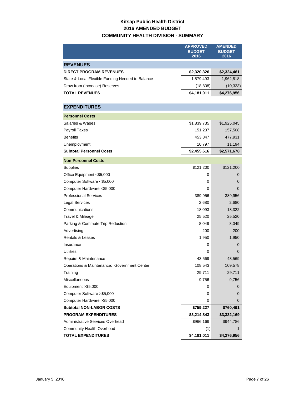# **Kitsap Public Health District 2016 AMENDED BUDGET COMMUNITY HEALTH DIVISION - SUMMARY**

|                                                  | <b>APPROVED</b><br><b>BUDGET</b><br>2016 | <b>AMENDED</b><br><b>BUDGET</b><br>2016 |
|--------------------------------------------------|------------------------------------------|-----------------------------------------|
| <b>REVENUES</b>                                  |                                          |                                         |
| <b>DIRECT PROGRAM REVENUES</b>                   | \$2,320,326                              | \$2,324,461                             |
| State & Local Flexible Funding Needed to Balance | 1,879,493                                | 1,962,818                               |
| Draw from (Increase) Reserves                    | (18, 808)                                | (10, 323)                               |
| <b>TOTAL REVENUES</b>                            | \$4,181,011                              | \$4,276,956                             |
|                                                  |                                          |                                         |
| <b>EXPENDITURES</b>                              |                                          |                                         |
| <b>Personnel Costs</b>                           |                                          |                                         |
| Salaries & Wages                                 | \$1,839,735                              | \$1,925,045                             |
| Payroll Taxes                                    | 151,237                                  | 157,508                                 |
| <b>Benefits</b>                                  | 453,847                                  | 477,931                                 |
| Unemployment                                     | 10,797                                   | 11,194                                  |
| <b>Subtotal Personnel Costs</b>                  | \$2,455,616                              | \$2,571,678                             |
| <b>Non-Personnel Costs</b>                       |                                          |                                         |
| Supplies                                         | \$121,200                                | \$121,200                               |
| Office Equipment <\$5,000                        | 0                                        | 0                                       |
| Computer Software <\$5,000                       | 0                                        | 0                                       |
| Computer Hardware <\$5,000                       | 0                                        | $\mathbf 0$                             |
| <b>Professional Services</b>                     | 389,956                                  | 389,956                                 |
| <b>Legal Services</b>                            | 2,680                                    | 2,680                                   |
| Communications                                   | 18,093                                   | 18,322                                  |
| Travel & Mileage                                 | 25,520                                   | 25,520                                  |
| Parking & Commute Trip Reduction                 | 8,049                                    | 8,049                                   |
| Advertising                                      | 200                                      | 200                                     |
| Rentals & Leases                                 | 1,950                                    | 1,950                                   |
| Insurance                                        | 0                                        | 0                                       |
| Utilities                                        | 0                                        | 0                                       |
| Repairs & Maintenance                            | 43,569                                   | 43,569                                  |
| Operations & Maintenance: Government Center      | 108,543                                  | 109,578                                 |
| Training                                         | 29,711                                   | 29,711                                  |
| <b>Miscellaneous</b>                             | 9,756                                    | 9,756                                   |
| Equipment > \$5,000                              | 0                                        | 0                                       |
| Computer Software > \$5,000                      | 0                                        | 0                                       |
| Computer Hardware > \$5,000                      | 0                                        | 0                                       |
| <b>Subtotal NON-LABOR COSTS</b>                  | \$759,227                                | \$760,491                               |
| <b>PROGRAM EXPENDITURES</b>                      | \$3,214,843                              | \$3,332,169                             |
| <b>Administrative Services Overhead</b>          | \$966,169                                | \$944,786                               |
| Community Health Overhead                        | (1)                                      | 1                                       |
| <b>TOTAL EXPENDITURES</b>                        | \$4,181,011                              | \$4,276,956                             |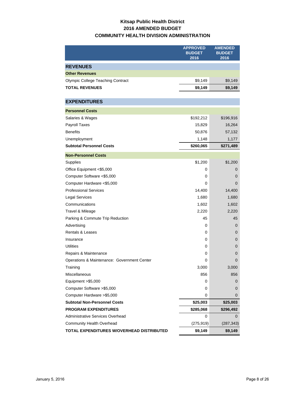# **Kitsap Public Health District 2016 AMENDED BUDGET COMMUNITY HEALTH DIVISION ADMINISTRATION**

|                                             | <b>APPROVED</b><br><b>BUDGET</b><br>2016 | <b>AMENDED</b><br><b>BUDGET</b><br>2016 |
|---------------------------------------------|------------------------------------------|-----------------------------------------|
| <b>REVENUES</b>                             |                                          |                                         |
| <b>Other Revenues</b>                       |                                          |                                         |
| <b>Olympic College Teaching Contract</b>    | \$9,149                                  | \$9,149                                 |
| <b>TOTAL REVENUES</b>                       | \$9,149                                  | \$9,149                                 |
|                                             |                                          |                                         |
| <b>EXPENDITURES</b>                         |                                          |                                         |
| <b>Personnel Costs</b>                      |                                          |                                         |
| Salaries & Wages                            | \$192,212                                | \$196,916                               |
| Payroll Taxes                               | 15,829                                   | 16,264                                  |
| <b>Benefits</b>                             | 50,876                                   | 57,132                                  |
| Unemployment                                | 1,148                                    | 1,177                                   |
| <b>Subtotal Personnel Costs</b>             | \$260,065                                | \$271,489                               |
| <b>Non-Personnel Costs</b>                  |                                          |                                         |
| <b>Supplies</b>                             | \$1,200                                  | \$1,200                                 |
| Office Equipment <\$5,000                   | 0                                        | 0                                       |
| Computer Software <\$5,000                  | 0                                        | 0                                       |
| Computer Hardware <\$5,000                  | 0                                        | 0                                       |
| <b>Professional Services</b>                | 14,400                                   | 14,400                                  |
| <b>Legal Services</b>                       | 1,680                                    | 1,680                                   |
| Communications                              | 1,602                                    | 1,602                                   |
| Travel & Mileage                            | 2,220                                    | 2,220                                   |
| Parking & Commute Trip Reduction            | 45                                       | 45                                      |
| Advertising                                 | 0                                        | 0                                       |
| <b>Rentals &amp; Leases</b>                 | 0                                        | 0                                       |
| Insurance                                   | 0                                        | 0                                       |
| Utilities                                   | 0                                        | 0                                       |
| Repairs & Maintenance                       | 0                                        | 0                                       |
| Operations & Maintenance: Government Center | 0                                        | 0                                       |
| Training                                    | 3,000                                    | 3,000                                   |
| Miscellaneous                               | 856                                      | 856                                     |
| Equipment > \$5,000                         | 0                                        | 0                                       |
| Computer Software > \$5,000                 | 0                                        | 0                                       |
| Computer Hardware > \$5,000                 | 0                                        | 0                                       |
| <b>Subtotal Non-Personnel Costs</b>         | \$25,003                                 | \$25,003                                |
| <b>PROGRAM EXPENDITURES</b>                 | \$285,068                                | \$296,492                               |
| <b>Administrative Services Overhead</b>     | 0                                        | 0                                       |
| Community Health Overhead                   | (275, 919)                               | (287, 343)                              |
| TOTAL EXPENDITURES W/OVERHEAD DISTRIBUTED   | \$9,149                                  | \$9,149                                 |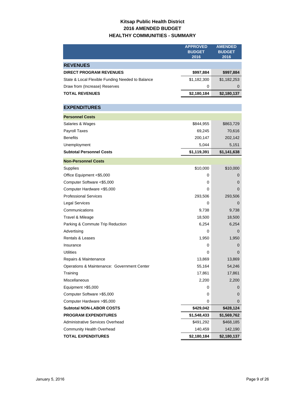# **Kitsap Public Health District 2016 AMENDED BUDGET HEALTHY COMMUNITIES - SUMMARY**

|                                                  | <b>APPROVED</b><br><b>BUDGET</b><br>2016 | <b>AMENDED</b><br><b>BUDGET</b><br>2016 |
|--------------------------------------------------|------------------------------------------|-----------------------------------------|
| <b>REVENUES</b>                                  |                                          |                                         |
| <b>DIRECT PROGRAM REVENUES</b>                   | \$997,884                                | \$997,884                               |
| State & Local Flexible Funding Needed to Balance | \$1,182,300                              | \$1,182,253                             |
| Draw from (Increase) Reserves                    | 0                                        | 0                                       |
| <b>TOTAL REVENUES</b>                            | \$2,180,184                              | \$2,180,137                             |
|                                                  |                                          |                                         |
| <b>EXPENDITURES</b>                              |                                          |                                         |
| <b>Personnel Costs</b>                           |                                          |                                         |
| Salaries & Wages                                 | \$844,955                                | \$863,729                               |
| Payroll Taxes                                    | 69,245                                   | 70,616                                  |
| <b>Benefits</b>                                  | 200,147                                  | 202,142                                 |
| Unemployment                                     | 5,044                                    | 5,151                                   |
| <b>Subtotal Personnel Costs</b>                  | \$1,119,391                              | \$1,141,638                             |
| <b>Non-Personnel Costs</b>                       |                                          |                                         |
| Supplies                                         | \$10,000                                 | \$10,000                                |
| Office Equipment <\$5,000                        | 0                                        | 0                                       |
| Computer Software <\$5,000                       | 0                                        | 0                                       |
| Computer Hardware <\$5,000                       | 0                                        | 0                                       |
| <b>Professional Services</b>                     | 293,506                                  | 293,506                                 |
| Legal Services                                   | 0                                        | O                                       |
| Communications                                   | 9,738                                    | 9,738                                   |
| Travel & Mileage                                 | 18,500                                   | 18,500                                  |
| Parking & Commute Trip Reduction                 | 6,254                                    | 6,254                                   |
| Advertising                                      | 0                                        | 0                                       |
| Rentals & Leases                                 | 1,950                                    | 1,950                                   |
| Insurance                                        | 0                                        | 0                                       |
| <b>Utilities</b>                                 | 0                                        | O                                       |
| Repairs & Maintenance                            | 13,869                                   | 13,869                                  |
| Operations & Maintenance: Government Center      | 55,164                                   | 54,246                                  |
| Training                                         | 17,861                                   | 17,861                                  |
| Miscellaneous                                    | 2,200                                    | 2,200                                   |
| Equipment > \$5,000                              | 0                                        | 0                                       |
| Computer Software > \$5,000                      | 0                                        | 0                                       |
| Computer Hardware > \$5,000                      | 0                                        | 0                                       |
| <b>Subtotal NON-LABOR COSTS</b>                  | \$429,042                                | \$428,124                               |
| <b>PROGRAM EXPENDITURES</b>                      | \$1,548,433                              | \$1,569,762                             |
| Administrative Services Overhead                 | \$491,292                                | \$468,185                               |
| <b>Community Health Overhead</b>                 | 140,459                                  | 142,190                                 |
| <b>TOTAL EXPENDITURES</b>                        | \$2,180,184                              | \$2,180,137                             |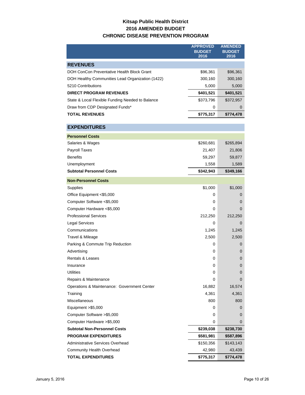## **Kitsap Public Health District 2016 AMENDED BUDGET CHRONIC DISEASE PREVENTION PROGRAM**

|                                                  | <b>APPROVED</b><br><b>BUDGET</b><br>2016 | <b>AMENDED</b><br><b>BUDGET</b><br>2016 |
|--------------------------------------------------|------------------------------------------|-----------------------------------------|
| <b>REVENUES</b>                                  |                                          |                                         |
| DOH ConCon Preventative Health Block Grant       | \$96,361                                 | \$96,361                                |
| DOH Healthy Communities Lead Organization (1422) | 300,160                                  | 300,160                                 |
| 5210 Contributions                               | 5,000                                    | 5,000                                   |
| <b>DIRECT PROGRAM REVENUES</b>                   | \$401,521                                | \$401,521                               |
| State & Local Flexible Funding Needed to Balance | \$373,796                                | \$372,957                               |
| Draw from CDP Designated Funds*                  | 0                                        | 0                                       |
| <b>TOTAL REVENUES</b>                            | \$775,317                                | \$774,478                               |
|                                                  |                                          |                                         |
| <b>EXPENDITURES</b>                              |                                          |                                         |
| <b>Personnel Costs</b>                           |                                          |                                         |
| Salaries & Wages                                 | \$260,681                                | \$265,894                               |
| <b>Payroll Taxes</b>                             | 21,407                                   | 21,806                                  |
| <b>Benefits</b>                                  | 59,297                                   | 59,877                                  |
| Unemployment                                     | 1,558                                    | 1,589                                   |
| <b>Subtotal Personnel Costs</b>                  | \$342,943                                | \$349,166                               |
| <b>Non-Personnel Costs</b>                       |                                          |                                         |
| Supplies                                         | \$1,000                                  | \$1,000                                 |
| Office Equipment <\$5,000                        | 0                                        | 0                                       |
| Computer Software <\$5,000                       | 0                                        | 0                                       |
| Computer Hardware <\$5,000                       | 0                                        | $\mathbf 0$                             |
| <b>Professional Services</b>                     | 212,250                                  | 212,250                                 |
| Legal Services                                   | 0                                        | $\mathbf 0$                             |
| Communications                                   | 1,245                                    | 1,245                                   |
| Travel & Mileage                                 | 2,500                                    | 2,500                                   |
| Parking & Commute Trip Reduction                 | 0                                        | 0                                       |
| Advertising                                      | 0                                        | 0                                       |
| <b>Rentals &amp; Leases</b>                      | 0                                        | 0                                       |
| Insurance                                        | 0                                        | $\mathbf 0$                             |
| Utilities                                        | 0                                        | 0                                       |
| Repairs & Maintenance                            | 0                                        | $\mathbf{0}$                            |
| Operations & Maintenance: Government Center      | 16,882                                   | 16,574                                  |
| Training                                         | 4,361                                    | 4,361                                   |
| Miscellaneous                                    | 800                                      | 800                                     |
| Equipment >\$5,000                               | 0                                        | 0                                       |
| Computer Software > \$5,000                      | 0                                        | 0                                       |
| Computer Hardware > \$5,000                      | 0                                        | 0                                       |
| <b>Subtotal Non-Personnel Costs</b>              | \$239,038                                | \$238,730                               |
| <b>PROGRAM EXPENDITURES</b>                      | \$581,981                                | \$587,896                               |
| Administrative Services Overhead                 | \$150,356                                | \$143,143                               |
| Community Health Overhead                        | 42,980                                   | 43,439                                  |

**TOTAL EXPENDITURES \$775,317 \$774,478**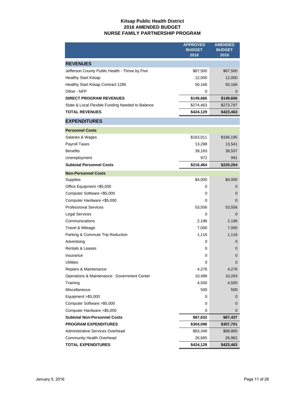### **Kitsap Public Health District 2016 AMENDED BUDGET NURSE FAMILY PARTNERSHIP PROGRAM**

|                                                  | <b>APPROVED</b><br><b>BUDGET</b><br>2016 | <b>AMENDED</b><br><b>BUDGET</b><br>2016 |
|--------------------------------------------------|------------------------------------------|-----------------------------------------|
| <b>REVENUES</b>                                  |                                          |                                         |
| Jefferson County Public Health - Thrive by Five  | \$87,500                                 | \$87,500                                |
| <b>Healthy Start Kitsap</b>                      | 12,000                                   | 12,000                                  |
| Healthy Start Kitsap Contract 1285               | 50,166                                   | 50,166                                  |
| Other - NFP                                      | 0                                        | 0                                       |
| <b>DIRECT PROGRAM REVENUES</b>                   | \$149,666                                | \$149,666                               |
| State & Local Flexible Funding Needed to Balance | \$274,463                                | \$273,797                               |
| <b>TOTAL REVENUES</b>                            | \$424,129                                | \$423,463                               |
| <b>EXPENDITURES</b>                              |                                          |                                         |
| <b>Personnel Costs</b>                           |                                          |                                         |
| Salaries & Wages                                 | \$163,011                                | \$166,195                               |
| Payroll Taxes                                    | 13,298                                   | 13,541                                  |
| <b>Benefits</b>                                  | 39,183                                   | 39,537                                  |
| Unemployment                                     | 972                                      | 991                                     |
| <b>Subtotal Personnel Costs</b>                  | \$216,464                                | \$220,264                               |
| <b>Non-Personnel Costs</b>                       |                                          |                                         |
| Supplies                                         | \$4,000                                  | \$4,000                                 |
| Office Equipment <\$5,000                        | 0                                        | 0                                       |
| Computer Software <\$5,000                       | 0                                        | 0                                       |
| Computer Hardware <\$5,000                       | 0                                        | 0                                       |
| <b>Professional Services</b>                     | 53,556                                   | 53,556                                  |
| <b>Legal Services</b>                            | 0                                        | 0                                       |
| Communications                                   | 2,196                                    | 2,196                                   |
| Travel & Mileage                                 | 7,000                                    | 7,000                                   |
| Parking & Commute Trip Reduction                 | 1,116                                    | 1,116                                   |
| Advertising                                      | 0                                        | 0                                       |
| Rentals & Leases                                 | 0                                        | 0                                       |
| Insurance                                        | 0                                        | 0                                       |
| Utilities                                        | 0                                        | 0                                       |
| Repairs & Maintenance                            | 4,276                                    | 4,276                                   |
| Operations & Maintenance: Government Center      | 10,488                                   | 10,293                                  |
| Training                                         | 4,500                                    | 4,500                                   |
| Miscellaneous                                    | 500                                      | 500                                     |
| Equipment $>$ \$5,000                            | 0                                        | 0                                       |
| Computer Software > \$5,000                      | 0                                        | 0                                       |
| Computer Hardware > \$5,000                      | 0                                        | 0                                       |
| <b>Subtotal Non-Personnel Costs</b>              | \$87,632                                 | \$87,437                                |
| <b>PROGRAM EXPENDITURES</b>                      | \$304,096                                | \$307,701                               |
| Administrative Services Overhead                 | \$93,348                                 | \$88,800                                |
| Community Health Overhead                        | 26,685                                   | 26,962                                  |
| <b>TOTAL EXPENDITURES</b>                        | \$424,129                                | \$423,463                               |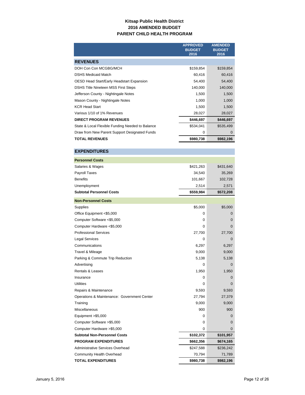### **Kitsap Public Health District 2016 AMENDED BUDGET PARENT CHILD HEALTH PROGRAM**

|                                                  | <b>APPROVED</b><br><b>BUDGET</b><br>2016 | <b>AMENDED</b><br><b>BUDGET</b><br>2016 |
|--------------------------------------------------|------------------------------------------|-----------------------------------------|
| <b>REVENUES</b>                                  |                                          |                                         |
| DOH Con Con MCGBG/MCH                            | \$159,854                                | \$159,854                               |
| <b>DSHS Medicaid Match</b>                       | 60,416                                   | 60,416                                  |
| <b>OESD Head Start/Early Headstart Expansion</b> | 54,400                                   | 54,400                                  |
| <b>DSHS Title Nineteen MSS First Steps</b>       | 140,000                                  | 140,000                                 |
| Jefferson County - Nightingale Notes             | 1,500                                    | 1,500                                   |
| Mason County - Nightingale Notes                 | 1,000                                    | 1,000                                   |
| <b>KCR Head Start</b>                            | 1,500                                    | 1,500                                   |
| Various 1/10 of 1% Revenues                      | 28,027                                   | 28,027                                  |
| <b>DIRECT PROGRAM REVENUES</b>                   | \$446,697                                | \$446,697                               |
| State & Local Flexible Funding Needed to Balance | \$534,041                                | \$535,499                               |
| Draw from New Parent Support Designated Funds    | 0                                        | 0                                       |
| <b>TOTAL REVENUES</b>                            | \$980,738                                | \$982,196                               |

#### **EXPENDITURES**

| <b>Personnel Costs</b>                      |           |                |
|---------------------------------------------|-----------|----------------|
| Salaries & Wages                            | \$421,263 | \$431,640      |
| Payroll Taxes                               | 34,540    | 35,269         |
| <b>Benefits</b>                             | 101,667   | 102,728        |
| Unemployment                                | 2,514     | 2,571          |
| <b>Subtotal Personnel Costs</b>             | \$559,984 | \$572,208      |
| <b>Non-Personnel Costs</b>                  |           |                |
| Supplies                                    | \$5,000   | \$5,000        |
| Office Equipment <\$5,000                   | 0         | 0              |
| Computer Software <\$5,000                  | 0         | $\mathbf{0}$   |
| Computer Hardware <\$5,000                  | 0         | 0              |
| <b>Professional Services</b>                | 27,700    | 27,700         |
| <b>Legal Services</b>                       | 0         | 0              |
| Communications                              | 6,297     | 6,297          |
| Travel & Mileage                            | 9,000     | 9,000          |
| Parking & Commute Trip Reduction            | 5,138     | 5,138          |
| Advertising                                 | 0         | 0              |
| Rentals & Leases                            | 1,950     | 1,950          |
| Insurance                                   | 0         | 0              |
| Utilities                                   | 0         | 0              |
| Repairs & Maintenance                       | 9,593     | 9,593          |
| Operations & Maintenance: Government Center | 27,794    | 27,379         |
| Training                                    | 9,000     | 9,000          |
| Miscellaneous                               | 900       | 900            |
| Equipment > \$5,000                         | 0         | 0              |
| Computer Software >\$5,000                  | 0         | $\mathbf{0}$   |
| Computer Hardware > \$5,000                 | 0         | $\overline{0}$ |
| <b>Subtotal Non-Personnel Costs</b>         | \$102,372 | \$101,957      |
| <b>PROGRAM EXPENDITURES</b>                 | \$662,356 | \$674,165      |
| Administrative Services Overhead            | \$247,588 | \$236,242      |
| <b>Community Health Overhead</b>            | 70,794    | 71,789         |
| <b>TOTAL EXPENDITURES</b>                   | \$980,738 | \$982,196      |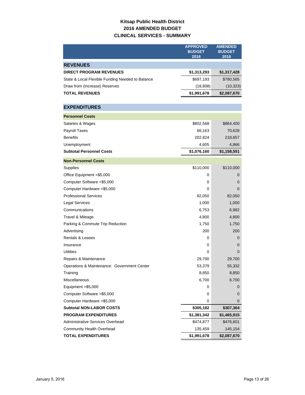# **Kitsap Public Health District 2016 AMENDED BUDGET CLINICAL SERVICES - SUMMARY**

|                                                   | <b>APPROVED</b><br><b>BUDGET</b><br>2016 | <b>AMENDED</b><br><b>BUDGET</b><br>2016 |
|---------------------------------------------------|------------------------------------------|-----------------------------------------|
|                                                   |                                          |                                         |
| <b>REVENUES</b><br><b>DIRECT PROGRAM REVENUES</b> |                                          |                                         |
|                                                   | \$1,313,293                              | \$1,317,428                             |
| State & Local Flexible Funding Needed to Balance  | \$697,193                                | \$780,565                               |
| Draw from (Increase) Reserves                     | (18, 808)                                | (10, 323)                               |
| <b>TOTAL REVENUES</b>                             | \$1,991,678                              | \$2,087,670                             |
| <b>EXPENDITURES</b>                               |                                          |                                         |
| <b>Personnel Costs</b>                            |                                          |                                         |
| Salaries & Wages                                  | \$802,568                                | \$864,400                               |
| <b>Payroll Taxes</b>                              | 66,163                                   | 70,628                                  |
| <b>Benefits</b>                                   | 202,824                                  | 218,657                                 |
| Unemployment                                      | 4,605                                    | 4,866                                   |
| <b>Subtotal Personnel Costs</b>                   | \$1,076,160                              | \$1,158,551                             |
| <b>Non-Personnel Costs</b>                        |                                          |                                         |
| Supplies                                          | \$110,000                                | \$110,000                               |
| Office Equipment <\$5,000                         | 0                                        | 0                                       |
| Computer Software <\$5,000                        | 0                                        | 0                                       |
| Computer Hardware <\$5,000                        | 0                                        | 0                                       |
| <b>Professional Services</b>                      | 82,050                                   | 82,050                                  |
| <b>Legal Services</b>                             | 1,000                                    | 1,000                                   |
| Communications                                    | 6,753                                    | 6,982                                   |
| Travel & Mileage                                  | 4,800                                    | 4,800                                   |
| Parking & Commute Trip Reduction                  | 1,750                                    | 1,750                                   |
| Advertising                                       | 200                                      | 200                                     |
| Rentals & Leases                                  | 0                                        | 0                                       |
| Insurance                                         | 0                                        | 0                                       |
| <b>Utilities</b>                                  | 0                                        | 0                                       |
| Repairs & Maintenance                             | 29,700                                   | 29,700                                  |
| Operations & Maintenance: Government Center       | 53,379                                   | 55,332                                  |
| Training                                          | 8,850                                    | 8,850                                   |
| Miscellaneous                                     | 6,700                                    | 6,700                                   |
| Equipment >\$5,000                                | 0                                        | 0                                       |
| Computer Software > \$5,000                       | 0                                        | 0                                       |
| Computer Hardware > \$5,000                       | 0                                        | 0                                       |
| <b>Subtotal NON-LABOR COSTS</b>                   | \$305,182                                | \$307,364                               |
| <b>PROGRAM EXPENDITURES</b>                       | \$1,381,342                              | \$1,465,915                             |
| Administrative Services Overhead                  | \$474,877                                | \$476,601                               |
| Community Health Overhead                         | 135,459                                  | 145,154                                 |
| <b>TOTAL EXPENDITURES</b>                         | \$1,991,678                              | \$2,087,670                             |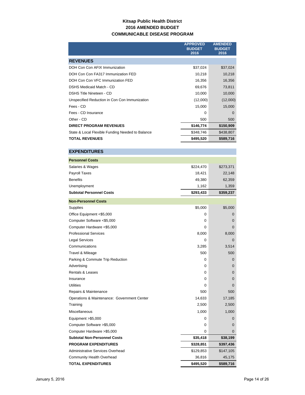### **Kitsap Public Health District 2016 AMENDED BUDGET COMMUNICABLE DISEASE PROGRAM**

|                                                  | <b>APPROVED</b><br><b>BUDGET</b><br>2016 | <b>AMENDED</b><br><b>BUDGET</b><br>2016 |
|--------------------------------------------------|------------------------------------------|-----------------------------------------|
| <b>REVENUES</b>                                  |                                          |                                         |
| DOH Con Con AFIX Immunization                    | \$37,024                                 | \$37,024                                |
| DOH Con Con FA317 Immunization FED               | 10,218                                   | 10,218                                  |
| DOH Con Con VFC Immunization FED                 | 16,356                                   | 16,356                                  |
| <b>DSHS Medicaid Match - CD</b>                  | 69,676                                   | 73,811                                  |
| DSHS Title Nineteen - CD                         | 10,000                                   | 10,000                                  |
| Unspecified Reduction in Con Con Immunization    | (12,000)                                 | (12,000)                                |
| Fees - CD                                        | 15,000                                   | 15,000                                  |
| Fees - CD Insurance                              | $\Omega$                                 | $\Omega$                                |
| Other - CD                                       | 500                                      | 500                                     |
| <b>DIRECT PROGRAM REVENUES</b>                   | \$146,774                                | \$150,909                               |
| State & Local Flexible Funding Needed to Balance | \$348,746                                | \$438,807                               |
| <b>TOTAL REVENUES</b>                            | \$495,520                                | \$589,716                               |
|                                                  |                                          |                                         |
| <b>EXPENDITURES</b>                              |                                          |                                         |

## **Personnel Costs** Salaries & Wages \$224,470 \$273,371 Payroll Taxes 22,148 Benefits 49,380 62,359 Unemployment 1,162 1,359 **Subtotal Personnel Costs by Same Costs \$293,433** \$359,237 **Non-Personnel Costs**

| <b>Supplies</b>                             | \$5,000   | \$5,000     |
|---------------------------------------------|-----------|-------------|
| Office Equipment <\$5,000                   | 0         | $\Omega$    |
| Computer Software <\$5,000                  | 0         | $\Omega$    |
| Computer Hardware <\$5,000                  | 0         | $\Omega$    |
| <b>Professional Services</b>                | 8,000     | 8,000       |
| <b>Legal Services</b>                       | $\Omega$  | $\mathbf 0$ |
| Communications                              | 3,285     | 3,514       |
| Travel & Mileage                            | 500       | 500         |
| Parking & Commute Trip Reduction            | $\Omega$  | $\Omega$    |
| Advertising                                 | 0         | $\Omega$    |
| <b>Rentals &amp; Leases</b>                 | 0         | $\Omega$    |
| Insurance                                   | 0         | $\Omega$    |
| <b>Utilities</b>                            | $\Omega$  | $\Omega$    |
| Repairs & Maintenance                       | 500       | 500         |
| Operations & Maintenance: Government Center | 14,633    | 17,185      |
| Training                                    | 2,500     | 2,500       |
| Miscellaneous                               | 1,000     | 1,000       |
| Equipment >\$5,000                          | $\Omega$  | $\Omega$    |
| Computer Software >\$5,000                  | $\Omega$  | $\Omega$    |
| Computer Hardware > \$5,000                 | $\Omega$  | 0           |
| <b>Subtotal Non-Personnel Costs</b>         | \$35,418  | \$38,199    |
| <b>PROGRAM EXPENDITURES</b>                 | \$328,851 | \$397,436   |
| Administrative Services Overhead            | \$129,853 | \$147,105   |
| Community Health Overhead                   | 36,816    | 45,175      |
| <b>TOTAL EXPENDITURES</b>                   | \$495,520 | \$589,716   |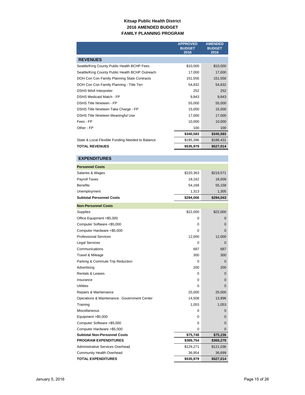### **Kitsap Public Health District 2016 AMENDED BUDGET FAMILY PLANNING PROGRAM**

|                                                  | <b>APPROVED</b><br><b>BUDGET</b><br>2016 | <b>AMENDED</b><br><b>BUDGET</b><br>2016 |
|--------------------------------------------------|------------------------------------------|-----------------------------------------|
| <b>REVENUES</b>                                  |                                          |                                         |
| Seattle/King County Public Health BCHP Fees      | \$10,000                                 | \$10,000                                |
| Seattle/King County Public Health BCHP Outreach  | 17,000                                   | 17,000                                  |
| DOH Con Con Family Planning State Contracts      | 151,556                                  | 151,556                                 |
| DOH Con Con Family Planning - Title Ten          | 54,832                                   | 54,832                                  |
| <b>DSHS MAA Interpreter</b>                      | 252                                      | 252                                     |
| <b>DSHS Medicaid Match - FP</b>                  | 9,843                                    | 9,843                                   |
| <b>DSHS Title Nineteen - FP</b>                  | 55,000                                   | 55,000                                  |
| DSHS Title Nineteen Take Charge - FP             | 15,000                                   | 15,000                                  |
| DSHS Title Nineteen Meaningful Use               | 17,000                                   | 17,000                                  |
| Fees - FP                                        | 10,000                                   | 10,000                                  |
| Other - FP                                       | 100                                      | 100                                     |
|                                                  | \$340,583                                | \$340,583                               |
| State & Local Flexible Funding Needed to Balance | \$195,396                                | \$186,431                               |
| <b>TOTAL REVENUES</b>                            | \$535,979                                | \$527,014                               |

## **EXPENDITURES**

| <b>Personnel Costs</b>                      |           |             |
|---------------------------------------------|-----------|-------------|
| Salaries & Wages                            | \$220,363 | \$219,571   |
| Payroll Taxes                               | 18,162    | 18,009      |
| <b>Benefits</b>                             | 54,168    | 55,158      |
| Unemployment                                | 1,313     | 1,305       |
| <b>Subtotal Personnel Costs</b>             | \$294,006 | \$294,043   |
| <b>Non-Personnel Costs</b>                  |           |             |
| Supplies                                    | \$22,000  | \$22,000    |
| Office Equipment <\$5,000                   | 0         | 0           |
| Computer Software <\$5,000                  | 0         | $\Omega$    |
| Computer Hardware <\$5,000                  | 0         | $\Omega$    |
| <b>Professional Services</b>                | 12,000    | 12,000      |
| <b>Legal Services</b>                       | 0         | $\mathbf 0$ |
| Communications                              | 687       | 687         |
| Travel & Mileage                            | 300       | 300         |
| Parking & Commute Trip Reduction            | $\Omega$  | $\Omega$    |
| Advertising                                 | 200       | 200         |
| Rentals & Leases                            | 0         | 0           |
| Insurance                                   | 0         | $\mathbf 0$ |
| <b>Utilities</b>                            | 0         | $\Omega$    |
| Repairs & Maintenance                       | 25,000    | 25,000      |
| Operations & Maintenance: Government Center | 14,508    | 13,996      |
| Training                                    | 1,053     | 1,053       |
| <b>Miscellaneous</b>                        | 0         | 0           |
| Equipment > \$5,000                         | 0         | $\mathbf 0$ |
| Computer Software >\$5,000                  | 0         | $\mathbf 0$ |
| Computer Hardware >\$5,000                  | 0         | $\Omega$    |
| <b>Subtotal Non-Personnel Costs</b>         | \$75,748  | \$75,236    |
| <b>PROGRAM EXPENDITURES</b>                 | \$369,754 | \$369,279   |
| Administrative Services Overhead            | \$129,271 | \$121,036   |
| <b>Community Health Overhead</b>            | 36,954    | 36,699      |
| <b>TOTAL EXPENDITURES</b>                   | \$535,979 | \$527,014   |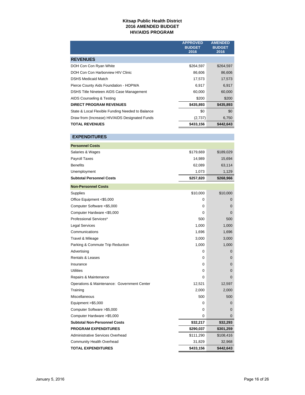#### **Kitsap Public Health District 2016 AMENDED BUDGET HIV/AIDS PROGRAM**

|                                                  | <b>APPROVED</b><br><b>BUDGET</b><br>2016 | <b>AMENDED</b><br><b>BUDGET</b><br>2016 |
|--------------------------------------------------|------------------------------------------|-----------------------------------------|
| <b>REVENUES</b>                                  |                                          |                                         |
| DOH Con Con Ryan White                           | \$264,597                                | \$264,597                               |
| DOH Con Con Harborview HIV Clinic                | 86,606                                   | 86,606                                  |
| <b>DSHS Medicaid Match</b>                       | 17,573                                   | 17,573                                  |
| Pierce County Aids Foundation - HOPWA            | 6,917                                    | 6,917                                   |
| DSHS Title Nineteen AIDS Case Management         | 60,000                                   | 60,000                                  |
| AIDS Counseling & Testing                        | \$200                                    | \$200                                   |
| <b>DIRECT PROGRAM REVENUES</b>                   | \$435,893                                | \$435,893                               |
| State & Local Flexible Funding Needed to Balance | \$0                                      | \$0                                     |
| Draw from (Increase) HIV/AIDS Designated Funds   | (2,737)                                  | 6,750                                   |
| <b>TOTAL REVENUES</b>                            | \$433,156                                | \$442,643                               |

| <b>EXPENDITURES</b>                         |           |             |
|---------------------------------------------|-----------|-------------|
| <b>Personnel Costs</b>                      |           |             |
| Salaries & Wages                            | \$179,669 | \$189,029   |
| Payroll Taxes                               | 14,989    | 15,694      |
| <b>Benefits</b>                             | 62,089    | 63,114      |
| Unemployment                                | 1,073     | 1,129       |
| <b>Subtotal Personnel Costs</b>             | \$257,820 | \$268,966   |
| <b>Non-Personnel Costs</b>                  |           |             |
| Supplies                                    | \$10,000  | \$10,000    |
| Office Equipment <\$5,000                   | 0         | 0           |
| Computer Software <\$5,000                  | 0         | $\mathbf 0$ |
| Computer Hardware <\$5,000                  | 0         | $\Omega$    |
| Professional Services*                      | 500       | 500         |
| <b>Legal Services</b>                       | 1,000     | 1,000       |
| Communications                              | 1,696     | 1,696       |
| Travel & Mileage                            | 3,000     | 3,000       |
| Parking & Commute Trip Reduction            | 1,000     | 1,000       |
| Advertising                                 | 0         | $\mathbf 0$ |
| <b>Rentals &amp; Leases</b>                 | $\Omega$  | $\mathbf 0$ |
| Insurance                                   | 0         | $\mathbf 0$ |
| <b>Utilities</b>                            | 0         | $\mathbf 0$ |
| Repairs & Maintenance                       | 0         | $\Omega$    |
| Operations & Maintenance: Government Center | 12,521    | 12,597      |
| Training                                    | 2,000     | 2,000       |
| <b>Miscellaneous</b>                        | 500       | 500         |
| Equipment $>$ \$5,000                       | 0         | $\mathbf 0$ |
| Computer Software >\$5,000                  | 0         | 0           |
| Computer Hardware > \$5,000                 | 0         | $\mathbf 0$ |
| <b>Subtotal Non-Personnel Costs</b>         | \$32,217  | \$32,293    |
| <b>PROGRAM EXPENDITURES</b>                 | \$290,037 | \$301,259   |
| Administrative Services Overhead            | \$111,290 | \$108,416   |
| Community Health Overhead                   | 31,829    | 32,968      |
| <b>TOTAL EXPENDITURES</b>                   | \$433,156 | \$442,643   |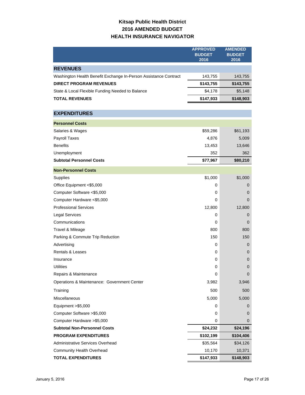# **Kitsap Public Health District 2016 AMENDED BUDGET HEALTH INSURANCE NAVIGATOR**

|                                                                  | <b>APPROVED</b><br><b>BUDGET</b><br>2016 | <b>AMENDED</b><br><b>BUDGET</b><br>2016 |
|------------------------------------------------------------------|------------------------------------------|-----------------------------------------|
| <b>REVENUES</b>                                                  |                                          |                                         |
| Washington Health Benefit Exchange In-Person Assistance Contract | 143,755                                  | 143,755                                 |
| <b>DIRECT PROGRAM REVENUES</b>                                   | \$143,755                                | \$143,755                               |
| State & Local Flexible Funding Needed to Balance                 | \$4,178                                  | \$5,148                                 |
| <b>TOTAL REVENUES</b>                                            | \$147,933                                | \$148,903                               |
|                                                                  |                                          |                                         |
| <b>EXPENDITURES</b>                                              |                                          |                                         |
| <b>Personnel Costs</b>                                           |                                          |                                         |
| Salaries & Wages                                                 | \$59,286                                 | \$61,193                                |
| <b>Payroll Taxes</b>                                             | 4,876                                    | 5,009                                   |
| <b>Benefits</b>                                                  | 13,453                                   | 13,646                                  |
| Unemployment                                                     | 352                                      | 362                                     |
| <b>Subtotal Personnel Costs</b>                                  | \$77,967                                 | \$80,210                                |
| <b>Non-Personnel Costs</b>                                       |                                          |                                         |
| Supplies                                                         | \$1,000                                  | \$1,000                                 |
| Office Equipment <\$5,000                                        | 0                                        | 0                                       |
| Computer Software <\$5,000                                       | 0                                        | 0                                       |
| Computer Hardware <\$5,000                                       | 0                                        | 0                                       |
| <b>Professional Services</b>                                     | 12,800                                   | 12,800                                  |
| <b>Legal Services</b>                                            | 0                                        | 0                                       |
| Communications                                                   | 0                                        | 0                                       |
| Travel & Mileage                                                 | 800                                      | 800                                     |
| Parking & Commute Trip Reduction                                 | 150                                      | 150                                     |
| Advertising                                                      | 0                                        | 0                                       |
| Rentals & Leases                                                 | 0                                        | 0                                       |
| Insurance                                                        | 0                                        | 0                                       |
| <b>Utilities</b>                                                 | 0                                        | 0                                       |
| Repairs & Maintenance                                            | 0                                        | 0                                       |
| Operations & Maintenance: Government Center                      | 3,982                                    | 3,946                                   |
| Training                                                         | 500                                      | 500                                     |
| <b>Miscellaneous</b>                                             | 5,000                                    | 5,000                                   |
| Equipment >\$5,000                                               | 0                                        | $\mathbf 0$                             |
| Computer Software > \$5,000                                      | 0                                        | 0                                       |
| Computer Hardware > \$5,000                                      | 0                                        | 0                                       |
| <b>Subtotal Non-Personnel Costs</b>                              | \$24,232                                 | \$24,196                                |
| <b>PROGRAM EXPENDITURES</b>                                      | \$102,199                                | \$104,406                               |
| Administrative Services Overhead                                 | \$35,564                                 | \$34,126                                |
| <b>Community Health Overhead</b>                                 | 10,170                                   | 10,371                                  |
| <b>TOTAL EXPENDITURES</b>                                        | \$147,933                                | \$148,903                               |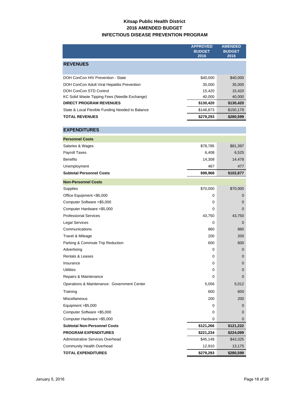## **Kitsap Public Health District 2016 AMENDED BUDGET INFECTIOUS DISEASE PREVENTION PROGRAM**

|                                                  | <b>APPROVED</b>       | <b>AMENDED</b>        |
|--------------------------------------------------|-----------------------|-----------------------|
|                                                  | <b>BUDGET</b><br>2016 | <b>BUDGET</b><br>2016 |
|                                                  |                       |                       |
| <b>REVENUES</b>                                  |                       |                       |
| DOH ConCon HIV Prevention - State                | \$40,000              | \$40,000              |
| DOH ConCon Adult Viral Hepatitis Prevention      | 35,000                | 35,000                |
| DOH ConCon STD Control                           | 15,420                | 15,420                |
| KC Solid Waste Tipping Fees (Needle Exchange)    | 40,000                | 40,000                |
| <b>DIRECT PROGRAM REVENUES</b>                   | \$130,420             | \$130,420             |
| State & Local Flexible Funding Needed to Balance | \$148,873             | \$150,179             |
| <b>TOTAL REVENUES</b>                            | \$279,293             | \$280,599             |
| <b>EXPENDITURES</b>                              |                       |                       |
| <b>Personnel Costs</b>                           |                       |                       |
| Salaries & Wages                                 | \$78,785              | \$81,397              |
| <b>Payroll Taxes</b>                             | 6,408                 | 6,525                 |
| <b>Benefits</b>                                  | 14,308                | 14,478                |
| Unemployment                                     | 467                   | 477                   |
| <b>Subtotal Personnel Costs</b>                  | \$99,968              | \$102,877             |
| <b>Non-Personnel Costs</b>                       |                       |                       |
| Supplies                                         | \$70,000              | \$70,000              |
| Office Equipment <\$5,000                        | 0                     | 0                     |
| Computer Software <\$5,000                       | 0                     | 0                     |
| Computer Hardware <\$5,000                       | 0                     | 0                     |
| <b>Professional Services</b>                     | 43,750                | 43,750                |
| Legal Services                                   | 0                     | 0                     |
| Communications                                   | 860                   | 860                   |
| Travel & Mileage                                 | 200                   | 200                   |
| Parking & Commute Trip Reduction                 | 600                   | 600                   |
| Advertising                                      | 0                     | 0                     |
| Rentals & Leases                                 | 0                     | 0                     |
| Insurance                                        | 0                     | 0                     |
| <b>Utilities</b>                                 | 0                     | 0                     |
| Repairs & Maintenance                            | 0                     | 0                     |
| Operations & Maintenance: Government Center      | 5,056                 | 5,012                 |
| Training                                         | 600                   | 600                   |
| Miscellaneous                                    | 200                   | 200                   |
| Equipment > \$5,000                              | 0                     | 0                     |
| Computer Software > \$5,000                      | 0                     | 0                     |
| Computer Hardware > \$5,000                      | 0                     | 0                     |
| <b>Subtotal Non-Personnel Costs</b>              | \$121,266             | \$121,222             |
| <b>PROGRAM EXPENDITURES</b>                      | \$221,234             | \$224,099             |
| Administrative Services Overhead                 | \$45,149              | \$43,325              |
| Community Health Overhead                        | 12,910                | 13,175                |
| <b>TOTAL EXPENDITURES</b>                        | \$279,293             | \$280,599             |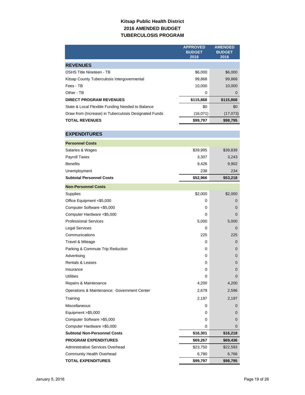### **Kitsap Public Health District 2016 AMENDED BUDGET TUBERCULOSIS PROGRAM**

|                                                       | <b>APPROVED</b>       | <b>AMENDED</b>        |
|-------------------------------------------------------|-----------------------|-----------------------|
|                                                       | <b>BUDGET</b><br>2016 | <b>BUDGET</b><br>2016 |
| <b>REVENUES</b>                                       |                       |                       |
| <b>DSHS Title Nineteen - TB</b>                       | \$6,000               | \$6,000               |
| Kitsap County Tuberculosis Intergovermental           | 99,868                | 99,868                |
| Fees - TB                                             | 10,000                | 10,000                |
| Other - TB                                            | 0                     | 0                     |
| <b>DIRECT PROGRAM REVENUES</b>                        | \$115,868             | \$115,868             |
| State & Local Flexible Funding Needed to Balance      | \$0                   | \$0                   |
| Draw from (Increase) in Tuberculosis Designated Funds | (16,071)              | (17,073)              |
| <b>TOTAL REVENUES</b>                                 | \$99,797              | \$98,795              |
|                                                       |                       |                       |
| <b>EXPENDITURES</b>                                   |                       |                       |
| <b>Personnel Costs</b>                                |                       |                       |
| Salaries & Wages                                      | \$39,995              | \$39,839              |
| Payroll Taxes                                         | 3,307                 | 3,243                 |
| <b>Benefits</b>                                       | 9,426                 | 9,902                 |
| Unemployment                                          | 238                   | 234                   |
| <b>Subtotal Personnel Costs</b>                       | \$52,966              | \$53,218              |
| <b>Non-Personnel Costs</b>                            |                       |                       |
| Supplies                                              | \$2,000               | \$2,000               |
| Office Equipment <\$5,000                             | 0                     | 0                     |
| Computer Software <\$5,000                            | 0                     | 0                     |
| Computer Hardware <\$5,000                            | 0                     | 0                     |
| <b>Professional Services</b>                          | 5,000                 | 5,000                 |
| <b>Legal Services</b>                                 | 0                     | 0                     |
| Communications                                        | 225                   | 225                   |
| Travel & Mileage                                      | 0                     | 0                     |
| Parking & Commute Trip Reduction                      | 0                     | 0                     |
| Advertising                                           | 0                     | 0                     |
| Rentals & Leases                                      | 0                     | 0                     |
| Insurance                                             | 0                     | 0                     |
| <b>Utilities</b>                                      | 0                     | 0                     |
| Repairs & Maintenance                                 | 4,200                 | 4,200                 |
| Operations & Maintenance: Government Center           | 2,679                 | 2,596                 |
| Training                                              | 2,197                 | 2,197                 |
| <b>Miscellaneous</b>                                  | 0                     | 0                     |
| Equipment >\$5,000                                    | 0                     | 0                     |
| Computer Software > \$5,000                           | 0                     | 0                     |
| Computer Hardware > \$5,000                           | 0                     | 0                     |
| <b>Subtotal Non-Personnel Costs</b>                   | \$16,301              | \$16,218              |
| <b>PROGRAM EXPENDITURES</b>                           | \$69,267              | \$69,436              |
| Administrative Services Overhead                      | \$23,750              | \$22,593              |
| Community Health Overhead                             | 6,780                 | 6,766                 |
| <b>TOTAL EXPENDITURES</b>                             | \$99,797              | \$98,795              |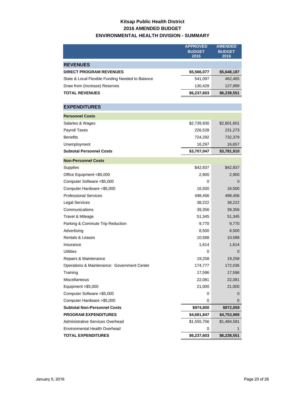# **Kitsap Public Health District 2016 AMENDED BUDGET ENVIRONMENTAL HEALTH DIVISION - SUMMARY**

|                                                  | <b>APPROVED</b><br><b>BUDGET</b><br>2016 | <b>AMENDED</b><br><b>BUDGET</b><br>2016 |
|--------------------------------------------------|------------------------------------------|-----------------------------------------|
| <b>REVENUES</b>                                  |                                          |                                         |
| <b>DIRECT PROGRAM REVENUES</b>                   | \$5,566,077                              | \$5,648,187                             |
| State & Local Flexible Funding Needed to Balance | 541,097                                  | 462,465                                 |
| Draw from (Increase) Reserves                    | 130,429                                  | 127,899                                 |
| <b>TOTAL REVENUES</b>                            | \$6,237,603                              | \$6,238,551                             |
|                                                  |                                          |                                         |
| <b>EXPENDITURES</b>                              |                                          |                                         |
| <b>Personnel Costs</b>                           |                                          |                                         |
| Salaries & Wages                                 | \$2,739,930                              | \$2,801,601                             |
| <b>Payroll Taxes</b>                             | 226,528                                  | 231,273                                 |
| <b>Benefits</b>                                  | 724,292                                  | 732,379                                 |
| Unemployment                                     | 16,297                                   | 16,657                                  |
| <b>Subtotal Personnel Costs</b>                  | \$3,707,047                              | \$3,781,910                             |
| <b>Non-Personnel Costs</b>                       |                                          |                                         |
| Supplies                                         | \$42,837                                 | \$42,837                                |
| Office Equipment <\$5,000                        | 2,900                                    | 2,900                                   |
| Computer Software <\$5,000                       | 0                                        | 0                                       |
| Computer Hardware <\$5,000                       | 16,500                                   | 16,500                                  |
| <b>Professional Services</b>                     | 498,456                                  | 498,456                                 |
| Legal Services                                   | 38,222                                   | 38,222                                  |
| Communications                                   | 39,356                                   | 39,356                                  |
| Travel & Mileage                                 | 51,345                                   | 51,345                                  |
| Parking & Commute Trip Reduction                 | 9,770                                    | 9,770                                   |
| Advertising                                      | 8,500                                    | 8,500                                   |
| <b>Rentals &amp; Leases</b>                      | 10,588                                   | 10,588                                  |
| Insurance                                        | 1,614                                    | 1,614                                   |
| Utilities                                        | 0                                        | 0                                       |
| Repairs & Maintenance                            | 19,258                                   | 19,258                                  |
| Operations & Maintenance: Government Center      | 174,777                                  | 172,036                                 |
| Training                                         | 17,596                                   | 17,596                                  |
| <b>Miscellaneous</b>                             | 22,081                                   | 22,081                                  |
| Equipment > \$5,000                              | 21,000                                   | 21,000                                  |
| Computer Software > \$5,000                      | 0                                        | 0                                       |
| Computer Hardware > \$5,000                      | 0                                        | 0                                       |
| <b>Subtotal Non-Personnel Costs</b>              | \$974,800                                | \$972,059                               |
| <b>PROGRAM EXPENDITURES</b>                      | \$4,681,847                              | \$4,753,969                             |
| <b>Administrative Services Overhead</b>          | \$1,555,756                              | \$1,484,581                             |
| <b>Environmental Health Overhead</b>             | 0                                        | 1                                       |
| <b>TOTAL EXPENDITURES</b>                        | \$6,237,603                              | \$6,238,551                             |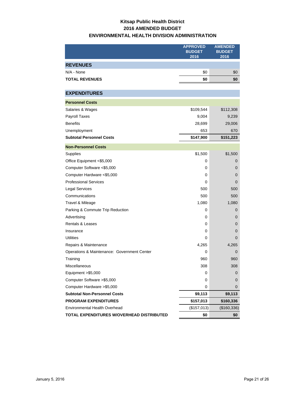# **Kitsap Public Health District 2016 AMENDED BUDGET ENVIRONMENTAL HEALTH DIVISION ADMINISTRATION**

|                                             | <b>APPROVED</b><br><b>BUDGET</b><br>2016 | <b>AMENDED</b><br><b>BUDGET</b><br>2016 |
|---------------------------------------------|------------------------------------------|-----------------------------------------|
| <b>REVENUES</b>                             |                                          |                                         |
| N/A - None                                  | \$0                                      | \$0                                     |
| <b>TOTAL REVENUES</b>                       | \$0                                      | \$0                                     |
|                                             |                                          |                                         |
| <b>EXPENDITURES</b>                         |                                          |                                         |
| <b>Personnel Costs</b>                      |                                          |                                         |
| Salaries & Wages                            | \$109,544                                | \$112,308                               |
| <b>Payroll Taxes</b>                        | 9,004                                    | 9,239                                   |
| <b>Benefits</b>                             | 28,699                                   | 29,006                                  |
| Unemployment                                | 653                                      | 670                                     |
| <b>Subtotal Personnel Costs</b>             | \$147,900                                | \$151,223                               |
| <b>Non-Personnel Costs</b>                  |                                          |                                         |
| Supplies                                    | \$1,500                                  | \$1,500                                 |
| Office Equipment <\$5,000                   | 0                                        | 0                                       |
| Computer Software <\$5,000                  | 0                                        | $\mathbf 0$                             |
| Computer Hardware <\$5,000                  | 0                                        | $\mathbf 0$                             |
| <b>Professional Services</b>                | 0                                        | $\mathbf 0$                             |
| <b>Legal Services</b>                       | 500                                      | 500                                     |
| Communications                              | 500                                      | 500                                     |
| Travel & Mileage                            | 1,080                                    | 1,080                                   |
| Parking & Commute Trip Reduction            | 0                                        | 0                                       |
| Advertising                                 | 0                                        | $\mathbf 0$                             |
| Rentals & Leases                            | 0                                        | $\mathbf 0$                             |
| Insurance                                   | 0                                        | $\mathbf 0$                             |
| <b>Utilities</b>                            | 0                                        | 0                                       |
| Repairs & Maintenance                       | 4,265                                    | 4,265                                   |
| Operations & Maintenance: Government Center | 0                                        | 0                                       |
| Training                                    | 960                                      | 960                                     |
| Miscellaneous                               | 308                                      | 308                                     |
| Equipment >\$5,000                          | 0                                        | 0                                       |
| Computer Software > \$5,000                 | 0                                        | $\mathbf 0$                             |
| Computer Hardware > \$5,000                 | 0                                        | $\mathbf 0$                             |
| <b>Subtotal Non-Personnel Costs</b>         | \$9,113                                  | \$9,113                                 |
| <b>PROGRAM EXPENDITURES</b>                 | \$157,013                                | \$160,336                               |
| <b>Environmental Health Overhead</b>        | (\$157,013)                              | (\$160,336)                             |
| TOTAL EXPENDITURES W/OVERHEAD DISTRIBUTED   | \$0                                      | \$0                                     |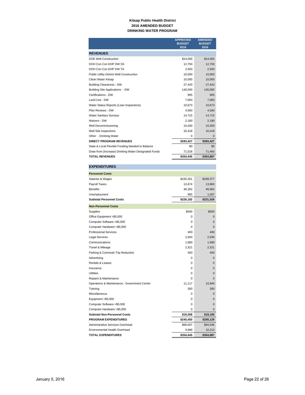#### **Kitsap Public Health District 2016 AMENDED BUDGET DRINKING WATER PROGRAM**

|                                                      | <b>APPROVED</b><br><b>BUDGET</b><br>2016 | <b>AMENDED</b><br><b>BUDGET</b><br>2016 |
|------------------------------------------------------|------------------------------------------|-----------------------------------------|
|                                                      |                                          |                                         |
| <b>REVENUES</b>                                      |                                          |                                         |
| <b>DOE Well Construction</b>                         | \$14,000                                 | \$14,000                                |
| DOH Con Con EHP DW SS                                | 12.750                                   | 12,750                                  |
| DOH Con Con EHP DW TA                                | 2,500                                    | 2,500                                   |
| <b>Public Utility District Well Construction</b>     | 10.000                                   | 10.000                                  |
| Clean Water Kitsap                                   | 10,000                                   | 10,000                                  |
| <b>Building Clearances - DW</b>                      | 27.443                                   | 27,443                                  |
| Building Site Applications - DW                      | 140.000                                  | 140,000                                 |
| Certifications - DW                                  | 905                                      | 905                                     |
| Land Use - DW                                        | 7.083                                    | 7.083                                   |
| Water Status Reports (Loan Inspections)              | 10,673                                   | 10,673                                  |
| Plan Reviews - DW                                    | 4.560                                    | 4,560                                   |
| <b>Water Sanitary Surveys</b>                        | 14.715                                   | 14,715                                  |
| Waivers - DW                                         | 2,180                                    | 2,180                                   |
| Well Decommissioning                                 | 10,200                                   | 10,200                                  |
| Well Site Inspections                                | 16,418                                   | 16,418                                  |
| Other - Drinking Water                               | 0                                        | $\mathbf{0}$                            |
| <b>DIRECT PROGRAM REVENUES</b>                       | \$283,427                                | \$283,427                               |
| State & Local Flexible Funding Needed to Balance     | \$0                                      | \$0                                     |
| Draw from (Increase) Drinking Water Designated Funds | 71,018                                   | 71,460                                  |
| <b>TOTAL REVENUES</b>                                | \$354.445                                | \$354.887                               |

#### **EXPENDITURES**

| <b>Personnel Costs</b>                      |           |              |
|---------------------------------------------|-----------|--------------|
| Salaries & Wages                            | \$165,261 | \$169,377    |
| Payroll Taxes                               | 13,674    | 13,963       |
| <b>Benefits</b>                             | 46,262    | 46,682       |
| Unemployment                                | 985       | 1,007        |
| <b>Subtotal Personnel Costs</b>             | \$226,182 | \$231,029    |
| <b>Non-Personnel Costs</b>                  |           |              |
| Supplies                                    | \$500     | \$500        |
| Office Equipment <\$5,000                   | 0         | $\mathbf{0}$ |
| Computer Software <\$5,000                  | $\Omega$  | $\Omega$     |
| Computer Hardware <\$5,000                  | $\Omega$  | $\Omega$     |
| <b>Professional Services</b>                | 400       | 400          |
| <b>Legal Services</b>                       | 2,500     | 2,500        |
| Communications                              | 1,680     | 1,680        |
| Travel & Mileage                            | 2,321     | 2,321        |
| Parking & Commute Trip Reduction            | 450       | 450          |
| Advertising                                 | $\Omega$  | $\Omega$     |
| Rentals & Leases                            | $\Omega$  | $\Omega$     |
| Insurance                                   | $\Omega$  | 0            |
| <b>Utilities</b>                            | 0         | 0            |
| Repairs & Maintenance                       | 0         | $\Omega$     |
| Operations & Maintenance: Government Center | 11,117    | 10,949       |
| Training                                    | 300       | 300          |
| Miscellaneous                               | $\Omega$  | $\Omega$     |
| Equipment >\$5,000                          | 0         | 0            |
| Computer Software >\$5,000                  | 0         | 0            |
| Computer Hardware >\$5,000                  | 0         | 0            |
| <b>Subtotal Non-Personnel Costs</b>         | \$19,268  | \$19,100     |
| <b>PROGRAM EXPENDITURES</b>                 | \$245,450 | \$250,129    |
| Administrative Services Overhead            | \$99,007  | \$94,546     |
| <b>Environmental Health Overhead</b>        | 9,988     | 10,212       |
| <b>TOTAL EXPENDITURES</b>                   | \$354,445 | \$354,887    |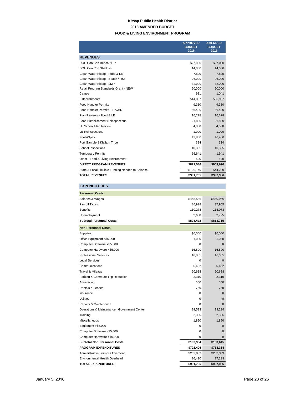#### **Kitsap Public Health District 2016 AMENDED BUDGET FOOD & LIVING ENVIRONMENT PROGRAM**

|                                                  | <b>APPROVED</b>       | <b>AMENDED</b>        |
|--------------------------------------------------|-----------------------|-----------------------|
|                                                  | <b>BUDGET</b><br>2016 | <b>BUDGET</b><br>2016 |
|                                                  |                       |                       |
| <b>REVENUES</b>                                  |                       |                       |
| DOH Con Con Beach NEP                            | \$27,000              | \$27,000              |
| DOH Con Con Shellfish                            | 14.000                | 14,000                |
| Clean Water Kitsap - Food & LE                   | 7,800                 | 7,800                 |
| Clean Water Kitsap - Beach / RSF                 | 26,000                | 26,000                |
| Clean Water Kitsap - LMP                         | 32,000                | 32,000                |
| Retail Program Standards Grant - NEW             | 20,000                | 20,000                |
| Camps                                            | 931                   | 1,041                 |
| Establishments                                   | 514,387               | 586,987               |
| <b>Food Handler Permits</b>                      | 9,330                 | 9,330                 |
| Food Handler Permits - TPCHD                     | 86,400                | 86,400                |
| Plan Reviews - Food & LE                         | 16,228                | 16,228                |
| <b>Food Establishment Reinspections</b>          | 21,800                | 21,800                |
| <b>LE School Plan Review</b>                     | 4,000                 | 4,500                 |
| <b>LE Reinspections</b>                          | 1,090                 | 1,090                 |
| Pools/Spas                                       | 42,800                | 46,400                |
| Port Gamble S'Klallam Tribe                      | 324                   | 324                   |
| School Inspections                               | 10.355                | 10,355                |
| <b>Temporary Permits</b>                         | 36,641                | 41,941                |
| Other - Food & Living Environment                | 500                   | 500                   |
| <b>DIRECT PROGRAM REVENUES</b>                   | \$871,586             | \$953,696             |
| State & Local Flexible Funding Needed to Balance | \$120,149             | \$44,290              |
| <b>TOTAL REVENUES</b>                            | \$991,735             | \$997,986             |

#### **EXPENDITURES**

| <b>Personnel Costs</b>                      |           |              |
|---------------------------------------------|-----------|--------------|
| Salaries & Wages                            | \$448,566 | \$460,956    |
| <b>Payroll Taxes</b>                        | 36,978    | 37,965       |
| <b>Benefits</b>                             | 110,278   | 113,073      |
| Unemployment                                | 2,650     | 2,725        |
| <b>Subtotal Personnel Costs</b>             | \$598,472 | \$614,719    |
| <b>Non-Personnel Costs</b>                  |           |              |
| Supplies                                    | \$6,000   | \$6,000      |
| Office Equipment <\$5,000                   | 1,000     | 1,000        |
| Computer Software <\$5,000                  | $\Omega$  | $\Omega$     |
| Computer Hardware <\$5,000                  | 16,500    | 16,500       |
| <b>Professional Services</b>                | 16,055    | 16,055       |
| <b>Legal Services</b>                       | $\Omega$  | $\mathbf{0}$ |
| Communications                              | 6,462     | 6,462        |
| Travel & Mileage                            | 20,638    | 20,638       |
| Parking & Commute Trip Reduction            | 2,310     | 2,310        |
| Advertising                                 | 500       | 500          |
| Rentals & Leases                            | 760       | 760          |
| Insurance                                   | 0         | $\mathbf 0$  |
| Utilities                                   | $\Omega$  | $\mathbf{0}$ |
| Repairs & Maintenance                       | $\Omega$  | $\Omega$     |
| Operations & Maintenance: Government Center | 29.523    | 29,234       |
| Training                                    | 2,336     | 2,336        |
| Miscellaneous                               | 1,850     | 1,850        |
| Equipment >\$5,000                          | 0         | $\mathbf{0}$ |
| Computer Software >\$5,000                  | $\Omega$  | $\Omega$     |
| Computer Hardware >\$5,000                  | 0         | $\mathbf{0}$ |
| <b>Subtotal Non-Personnel Costs</b>         | \$103,934 | \$103,645    |
| <b>PROGRAM EXPENDITURES</b>                 | \$702,406 | \$718,364    |
| <b>Administrative Services Overhead</b>     | \$262,839 | \$252,389    |
| Environmental Health Overhead               | 26,490    | 27,233       |
| TOTAL EXPENDITURES                          | \$991,735 | \$997,986    |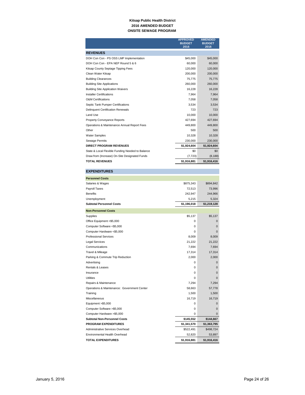#### **Kitsap Public Health District 2016 AMENDED BUDGET ONSITE SEWAGE PROGRAM**

|                                                  | <b>APPROVED</b><br><b>BUDGET</b><br>2016 | <b>AMENDED</b><br><b>BUDGET</b><br>2016 |
|--------------------------------------------------|------------------------------------------|-----------------------------------------|
| <b>REVENUES</b>                                  |                                          |                                         |
| DOH Con Con - PS OSS LMP Implementation          | \$45,000                                 | \$45,000                                |
| DOH Con Con - EPA NEP Round 5 & 6                | 60,000                                   | 60,000                                  |
| Kitsap County Septage Tipping Fees               | 120,000                                  | 120,000                                 |
| Clean Water Kitsap                               | 200,000                                  | 200,000                                 |
| <b>Building Clearances</b>                       | 75,775                                   | 75,775                                  |
| <b>Building Site Applications</b>                | 260,000                                  | 260,000                                 |
| <b>Building Site Application Waivers</b>         | 16,228                                   | 16,228                                  |
| <b>Installer Certifications</b>                  | 7.964                                    | 7,964                                   |
| <b>O&amp;M Certifications</b>                    | 7,058                                    | 7,058                                   |
| Septic Tank Pumper Certifications                | 3.534                                    | 3.534                                   |
| <b>Delinquent Certification Renewals</b>         | 723                                      | 723                                     |
| Land Use                                         | 10.000                                   | 10.000                                  |
| <b>Property Conveyance Reports</b>               | 427,694                                  | 427,694                                 |
| Operations & Maintenance Annual Report Fees      | 449.800                                  | 449,800                                 |
| Other                                            | 500                                      | 500                                     |
| <b>Water Samples</b>                             | 10,328                                   | 10,328                                  |
| Sewage Permits                                   | 230,000                                  | 230,000                                 |
| <b>DIRECT PROGRAM REVENUES</b>                   | \$1,924,604                              | \$1,924,604                             |
| State & Local Flexible Funding Needed to Balance | \$0                                      | \$0                                     |
| Draw from (Increase) On-Site Designated Funds    | (7, 723)                                 | (8, 188)                                |
| <b>TOTAL REVENUES</b>                            | \$1,916,881                              | \$1,916,416                             |

| <b>EXPENDITURES</b> |
|---------------------|
|                     |
|                     |

| <b>Personnel Costs</b>                      |             |             |
|---------------------------------------------|-------------|-------------|
| Salaries & Wages                            | \$875,343   | \$894,842   |
| Payroll Taxes                               | 72,513      | 73,996      |
| <b>Benefits</b>                             | 242,947     | 244,966     |
| Unemployment                                | 5,215       | 5,324       |
| <b>Subtotal Personnel Costs</b>             | \$1,196,018 | \$1,219,128 |
| <b>Non-Personnel Costs</b>                  |             |             |
| Supplies                                    | \$5,137     | \$5,137     |
| Office Equipment <\$5,000                   | 0           | 0           |
| Computer Software <\$5,000                  | $\Omega$    | 0           |
| Computer Hardware <\$5,000                  | $\Omega$    | 0           |
| <b>Professional Services</b>                | 8,009       | 8,009       |
| <b>Legal Services</b>                       | 21,222      | 21,222      |
| Communications                              | 7,694       | 7,694       |
| Travel & Mileage                            | 17,314      | 17,314      |
| Parking & Commute Trip Reduction            | 2,000       | 2,000       |
| Advertising                                 | 0           | $\Omega$    |
| Rentals & Leases                            | $\Omega$    | $\Omega$    |
| Insurance                                   | $\Omega$    | $\Omega$    |
| <b>Utilities</b>                            | $\Omega$    | $\Omega$    |
| Repairs & Maintenance                       | 7,294       | 7,294       |
| Operations & Maintenance: Government Center | 58,663      | 57,778      |
| Training                                    | 1,500       | 1,500       |
| <b>Miscellaneous</b>                        | 16,719      | 16,719      |
| Equipment > \$5,000                         | $\Omega$    | $\Omega$    |
| Computer Software > \$5,000                 | 0           | 0           |
| Computer Hardware >\$5,000                  | $\Omega$    | 0           |
| <b>Subtotal Non-Personnel Costs</b>         | \$145,552   | \$144,667   |
| <b>PROGRAM EXPENDITURES</b>                 | \$1,341,570 | \$1,363,795 |
| Administrative Services Overhead            | \$522,491   | \$498,724   |
| Environmental Health Overhead               | 52,820      | 53,897      |
| <b>TOTAL EXPENDITURES</b>                   | \$1,916,881 | \$1,916,416 |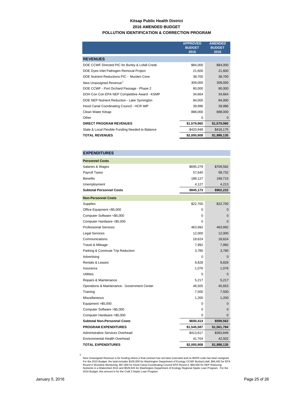#### **Kitsap Public Health District 2016 AMENDED BUDGET POLLUTION IDENTIFICATION & CORRECTION PROGRAM**

|                                                  | <b>APPROVED</b><br><b>BUDGET</b><br>2016 | <b>AMENDED</b><br><b>BUDGET</b><br>2016 |
|--------------------------------------------------|------------------------------------------|-----------------------------------------|
| <b>REVENUES</b>                                  |                                          |                                         |
| DOE CCWF Directed PIC for Burley & Lofall Creek  | \$84,000                                 | \$84,000                                |
| DOE Dyes Inlet Pathogen Removal Project          | 21,600                                   | 21,600                                  |
| DOE Nutrient Reductions PIC - Murden Cove        | 38,700                                   | 38,700                                  |
| New Unassigned Revenue <sup>1</sup>              | 309,000                                  | 309,000                                 |
| DOE CCWF - Port Orchard Passage - Phase 2        | 80,000                                   | 80,000                                  |
| DOH Con Con EPA NEP Competitive Award - KSMP     | 34,664                                   | 34,664                                  |
| DOE NEP Nutrient Reduction - Lake Symington      | 84,000                                   | 84,000                                  |
| Hood Canal Coordinating Council - HCR IMP        | 39,996                                   | 39,996                                  |
| Clean Water Kitsap                               | 888,000                                  | 888,000                                 |
| Other                                            | $\Omega$                                 | $\Omega$                                |
| <b>DIRECT PROGRAM REVENUES</b>                   | \$1,579,960                              | \$1,579,960                             |
| State & Local Flexible Funding Needed to Balance | \$420,948                                | \$418,175                               |
| <b>TOTAL REVENUES</b>                            | \$2,000,908                              | \$1,998,135                             |

#### **EXPENDITURES**

| <b>Personnel Costs</b>                      |             |              |
|---------------------------------------------|-------------|--------------|
| Salaries & Wages                            | \$695,279   | \$709,562    |
| <b>Payroll Taxes</b>                        | 57,640      | 58,732       |
| <b>Benefits</b>                             | 188,127     | 189,715      |
| Unemployment                                | 4,127       | 4,213        |
| <b>Subtotal Personnel Costs</b>             | \$945,173   | \$962,222    |
| <b>Non-Personnel Costs</b>                  |             |              |
| Supplies                                    | \$22,700    | \$22,700     |
| Office Equipment <\$5,000                   | 0           | $\mathbf 0$  |
| Computer Software <\$5,000                  | 0           | 0            |
| Computer Hardware <\$5,000                  | 0           | 0            |
| <b>Professional Services</b>                | 463,992     | 463,992      |
| <b>Legal Services</b>                       | 12,000      | 12,000       |
| Communications                              | 18,624      | 18,624       |
| Travel & Mileage                            | 7,992       | 7,992        |
| Parking & Commute Trip Reduction            | 3,780       | 3,780        |
| Advertising                                 | U           | 0            |
| Rentals & Leases                            | 9,828       | 9,828        |
| Insurance                                   | 1,076       | 1,076        |
| <b>Utilities</b>                            | 0           | $\Omega$     |
| Repairs & Maintenance                       | 5,217       | 5,217        |
| Operations & Maintenance: Government Center | 46,505      | 45,653       |
| Training                                    | 7,500       | 7,500        |
| Miscellaneous                               | 1,200       | 1,200        |
| Equipment > \$5,000                         | 0           | $\mathbf 0$  |
| Computer Software >\$5,000                  | 0           | 0            |
| Computer Hardware > \$5,000                 | 0           | $\mathbf{0}$ |
| <b>Subtotal Non-Personnel Costs</b>         | \$600,414   | \$599,562    |
| <b>PROGRAM EXPENDITURES</b>                 | \$1,545,587 | \$1,561,784  |
| <b>Administrative Services Overhead</b>     | \$413,617   | \$393,849    |
| <b>Environmental Health Overhead</b>        | 41,704      | 42,502       |
| <b>TOTAL EXPENDITURES</b>                   | \$2,000,908 | \$1,998,135  |

New Unassigned Revenue is for funding where a final contract has not been executed and no BARS code has been assigned.<br>For the 2015 Budget, the total includes \$100,000 for Washington Department of Ecology CCWF Burley/Lofal

1